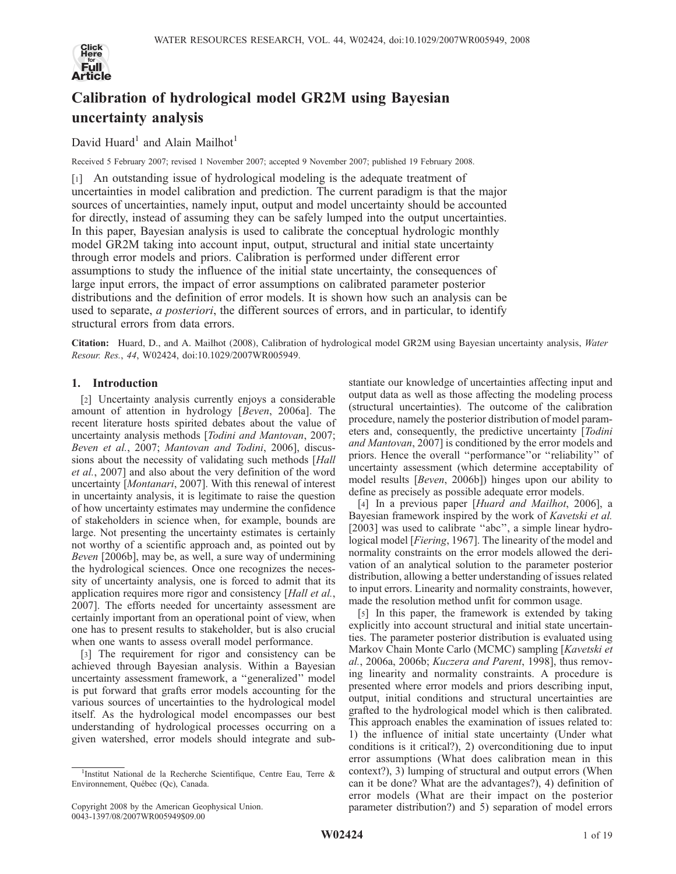

# Calibration of hydrological model GR2M using Bayesian uncertainty analysis

# David Huard<sup>1</sup> and Alain Mailhot<sup>1</sup>

Received 5 February 2007; revised 1 November 2007; accepted 9 November 2007; published 19 February 2008.

[1] An outstanding issue of hydrological modeling is the adequate treatment of uncertainties in model calibration and prediction. The current paradigm is that the major sources of uncertainties, namely input, output and model uncertainty should be accounted for directly, instead of assuming they can be safely lumped into the output uncertainties. In this paper, Bayesian analysis is used to calibrate the conceptual hydrologic monthly model GR2M taking into account input, output, structural and initial state uncertainty through error models and priors. Calibration is performed under different error assumptions to study the influence of the initial state uncertainty, the consequences of large input errors, the impact of error assumptions on calibrated parameter posterior distributions and the definition of error models. It is shown how such an analysis can be used to separate, a posteriori, the different sources of errors, and in particular, to identify structural errors from data errors.

Citation: Huard, D., and A. Mailhot (2008), Calibration of hydrological model GR2M using Bayesian uncertainty analysis, Water Resour. Res., 44, W02424, doi:10.1029/2007WR005949.

# 1. Introduction

[2] Uncertainty analysis currently enjoys a considerable amount of attention in hydrology [Beven, 2006a]. The recent literature hosts spirited debates about the value of uncertainty analysis methods [Todini and Mantovan, 2007; Beven et al., 2007; Mantovan and Todini, 2006], discussions about the necessity of validating such methods [Hall] et al., 2007] and also about the very definition of the word uncertainty [Montanari, 2007]. With this renewal of interest in uncertainty analysis, it is legitimate to raise the question of how uncertainty estimates may undermine the confidence of stakeholders in science when, for example, bounds are large. Not presenting the uncertainty estimates is certainly not worthy of a scientific approach and, as pointed out by Beven [2006b], may be, as well, a sure way of undermining the hydrological sciences. Once one recognizes the necessity of uncertainty analysis, one is forced to admit that its application requires more rigor and consistency [Hall et al., 2007]. The efforts needed for uncertainty assessment are certainly important from an operational point of view, when one has to present results to stakeholder, but is also crucial when one wants to assess overall model performance.

[3] The requirement for rigor and consistency can be achieved through Bayesian analysis. Within a Bayesian uncertainty assessment framework, a ''generalized'' model is put forward that grafts error models accounting for the various sources of uncertainties to the hydrological model itself. As the hydrological model encompasses our best understanding of hydrological processes occurring on a given watershed, error models should integrate and substantiate our knowledge of uncertainties affecting input and output data as well as those affecting the modeling process (structural uncertainties). The outcome of the calibration procedure, namely the posterior distribution of model parameters and, consequently, the predictive uncertainty [Todini and Mantovan, 2007] is conditioned by the error models and priors. Hence the overall ''performance''or ''reliability'' of uncertainty assessment (which determine acceptability of model results [Beven, 2006b]) hinges upon our ability to define as precisely as possible adequate error models.

[4] In a previous paper [Huard and Mailhot, 2006], a Bayesian framework inspired by the work of Kavetski et al. [2003] was used to calibrate "abc", a simple linear hydrological model [Fiering, 1967]. The linearity of the model and normality constraints on the error models allowed the derivation of an analytical solution to the parameter posterior distribution, allowing a better understanding of issues related to input errors. Linearity and normality constraints, however, made the resolution method unfit for common usage.

[5] In this paper, the framework is extended by taking explicitly into account structural and initial state uncertainties. The parameter posterior distribution is evaluated using Markov Chain Monte Carlo (MCMC) sampling [Kavetski et al., 2006a, 2006b; Kuczera and Parent, 1998], thus removing linearity and normality constraints. A procedure is presented where error models and priors describing input, output, initial conditions and structural uncertainties are grafted to the hydrological model which is then calibrated. This approach enables the examination of issues related to: 1) the influence of initial state uncertainty (Under what conditions is it critical?), 2) overconditioning due to input error assumptions (What does calibration mean in this context?), 3) lumping of structural and output errors (When can it be done? What are the advantages?), 4) definition of error models (What are their impact on the posterior parameter distribution?) and 5) separation of model errors

<sup>&</sup>lt;sup>1</sup>Institut National de la Recherche Scientifique, Centre Eau, Terre & Environnement, Québec (Qc), Canada.

Copyright 2008 by the American Geophysical Union. 0043-1397/08/2007WR005949\$09.00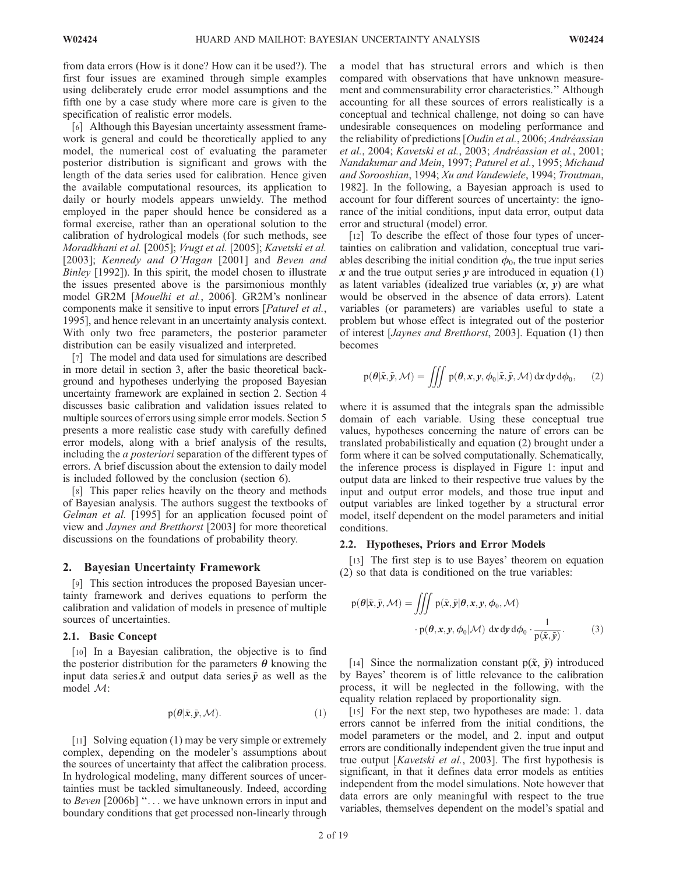from data errors (How is it done? How can it be used?). The first four issues are examined through simple examples using deliberately crude error model assumptions and the fifth one by a case study where more care is given to the specification of realistic error models.

[6] Although this Bayesian uncertainty assessment framework is general and could be theoretically applied to any model, the numerical cost of evaluating the parameter posterior distribution is significant and grows with the length of the data series used for calibration. Hence given the available computational resources, its application to daily or hourly models appears unwieldy. The method employed in the paper should hence be considered as a formal exercise, rather than an operational solution to the calibration of hydrological models (for such methods, see Moradkhani et al. [2005]; Vrugt et al. [2005]; Kavetski et al. [2003]; Kennedy and O'Hagan [2001] and Beven and Binley [1992]). In this spirit, the model chosen to illustrate the issues presented above is the parsimonious monthly model GR2M [Mouelhi et al., 2006]. GR2M's nonlinear components make it sensitive to input errors [Paturel et al., 1995], and hence relevant in an uncertainty analysis context. With only two free parameters, the posterior parameter distribution can be easily visualized and interpreted.

[7] The model and data used for simulations are described in more detail in section 3, after the basic theoretical background and hypotheses underlying the proposed Bayesian uncertainty framework are explained in section 2. Section 4 discusses basic calibration and validation issues related to multiple sources of errors using simple error models. Section 5 presents a more realistic case study with carefully defined error models, along with a brief analysis of the results, including the a posteriori separation of the different types of errors. A brief discussion about the extension to daily model is included followed by the conclusion (section 6).

[8] This paper relies heavily on the theory and methods of Bayesian analysis. The authors suggest the textbooks of Gelman et al. [1995] for an application focused point of view and Jaynes and Bretthorst [2003] for more theoretical discussions on the foundations of probability theory.

### 2. Bayesian Uncertainty Framework

[9] This section introduces the proposed Bayesian uncertainty framework and derives equations to perform the calibration and validation of models in presence of multiple sources of uncertainties.

### 2.1. Basic Concept

[10] In a Bayesian calibration, the objective is to find the posterior distribution for the parameters  $\theta$  knowing the input data series  $\tilde{x}$  and output data series  $\tilde{y}$  as well as the model M:

$$
p(\boldsymbol{\theta}|\tilde{\mathbf{x}}, \tilde{\mathbf{y}}, \mathcal{M}).
$$
\n(1)

[11] Solving equation (1) may be very simple or extremely complex, depending on the modeler's assumptions about the sources of uncertainty that affect the calibration process. In hydrological modeling, many different sources of uncertainties must be tackled simultaneously. Indeed, according to Beven [2006b] ''... we have unknown errors in input and boundary conditions that get processed non-linearly through

a model that has structural errors and which is then compared with observations that have unknown measurement and commensurability error characteristics.'' Although accounting for all these sources of errors realistically is a conceptual and technical challenge, not doing so can have undesirable consequences on modeling performance and the reliability of predictions [Oudin et al., 2006; Andréassian et al., 2004; Kavetski et al., 2003; Andréassian et al., 2001; Nandakumar and Mein, 1997; Paturel et al., 1995; Michaud and Sorooshian, 1994; Xu and Vandewiele, 1994; Troutman, 1982]. In the following, a Bayesian approach is used to account for four different sources of uncertainty: the ignorance of the initial conditions, input data error, output data error and structural (model) error.

[12] To describe the effect of those four types of uncertainties on calibration and validation, conceptual true variables describing the initial condition  $\phi_0$ , the true input series  $x$  and the true output series  $y$  are introduced in equation  $(1)$ as latent variables (idealized true variables  $(x, y)$  are what would be observed in the absence of data errors). Latent variables (or parameters) are variables useful to state a problem but whose effect is integrated out of the posterior of interest [Jaynes and Bretthorst, 2003]. Equation (1) then becomes

$$
p(\theta|\tilde{x}, \tilde{y}, \mathcal{M}) = \iiint p(\theta, x, y, \phi_0 | \tilde{x}, \tilde{y}, \mathcal{M}) \, dx \, dy \, d\phi_0, \qquad (2)
$$

where it is assumed that the integrals span the admissible domain of each variable. Using these conceptual true values, hypotheses concerning the nature of errors can be translated probabilistically and equation (2) brought under a form where it can be solved computationally. Schematically, the inference process is displayed in Figure 1: input and output data are linked to their respective true values by the input and output error models, and those true input and output variables are linked together by a structural error model, itself dependent on the model parameters and initial conditions.

# 2.2. Hypotheses, Priors and Error Models

[13] The first step is to use Bayes' theorem on equation (2) so that data is conditioned on the true variables:

$$
p(\theta|\tilde{x}, \tilde{y}, \mathcal{M}) = \iiint p(\tilde{x}, \tilde{y}|\theta, x, y, \phi_0, \mathcal{M})
$$

$$
p(\theta, x, y, \phi_0|\mathcal{M}) \, dx \, dy \, d\phi_0 \cdot \frac{1}{p(\tilde{x}, \tilde{y})}.
$$
 (3)

[14] Since the normalization constant  $p(\tilde{x}, \tilde{y})$  introduced by Bayes' theorem is of little relevance to the calibration process, it will be neglected in the following, with the equality relation replaced by proportionality sign.

[15] For the next step, two hypotheses are made: 1. data errors cannot be inferred from the initial conditions, the model parameters or the model, and 2. input and output errors are conditionally independent given the true input and true output [Kavetski et al., 2003]. The first hypothesis is significant, in that it defines data error models as entities independent from the model simulations. Note however that data errors are only meaningful with respect to the true variables, themselves dependent on the model's spatial and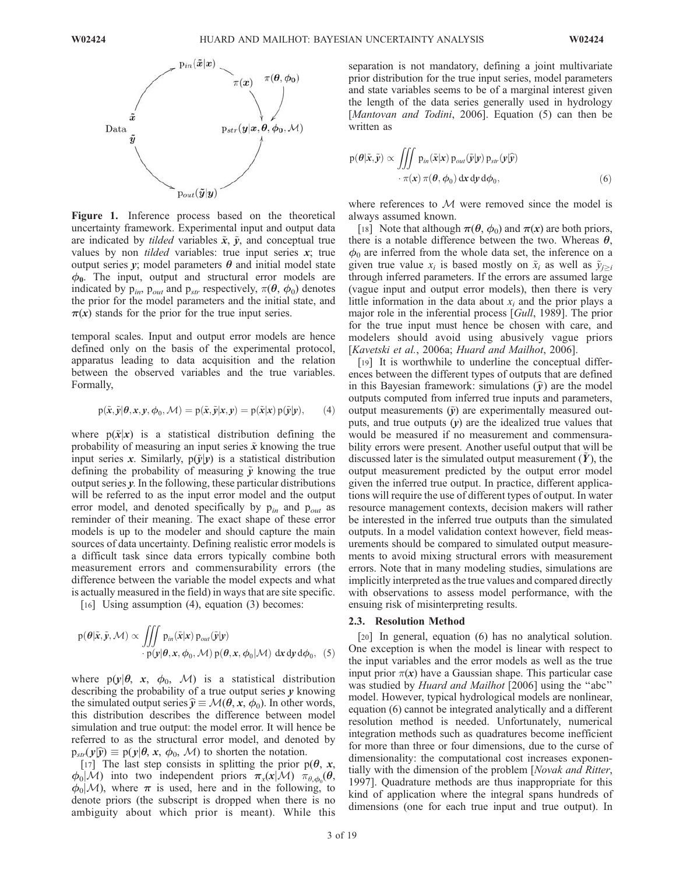

Figure 1. Inference process based on the theoretical uncertainty framework. Experimental input and output data are indicated by *tilded* variables  $\tilde{x}$ ,  $\tilde{y}$ , and conceptual true values by non *tilded* variables: true input series  $x$ ; true output series y; model parameters  $\theta$  and initial model state  $\phi_0$ . The input, output and structural error models are indicated by  $p_{in}$ ,  $p_{out}$  and  $p_{str}$  respectively,  $\pi(\theta, \phi_0)$  denotes the prior for the model parameters and the initial state, and  $\pi(x)$  stands for the prior for the true input series.

temporal scales. Input and output error models are hence defined only on the basis of the experimental protocol, apparatus leading to data acquisition and the relation between the observed variables and the true variables. Formally,

$$
p(\tilde{x}, \tilde{y} | \theta, x, y, \phi_0, \mathcal{M}) = p(\tilde{x}, \tilde{y} | x, y) = p(\tilde{x} | x) p(\tilde{y} | y), \quad (4)
$$

where  $p(\tilde{x}|x)$  is a statistical distribution defining the probability of measuring an input series  $\tilde{x}$  knowing the true input series x. Similarly,  $p(\tilde{y}|y)$  is a statistical distribution defining the probability of measuring  $\tilde{y}$  knowing the true output series  $\nu$ . In the following, these particular distributions will be referred to as the input error model and the output error model, and denoted specifically by  $p_{in}$  and  $p_{out}$  as reminder of their meaning. The exact shape of these error models is up to the modeler and should capture the main sources of data uncertainty. Defining realistic error models is a difficult task since data errors typically combine both measurement errors and commensurability errors (the difference between the variable the model expects and what is actually measured in the field) in ways that are site specific.

[16] Using assumption (4), equation (3) becomes:

$$
p(\theta|\tilde{x}, \tilde{y}, \mathcal{M}) \propto \iiint p_{in}(\tilde{x}|x) p_{out}(\tilde{y}|y) \cdot p(y|\theta, x, \phi_0, \mathcal{M}) p(\theta, x, \phi_0 | \mathcal{M}) dx dy d\phi_0, (5)
$$

where  $p(y|\theta, x, \phi_0, \mathcal{M})$  is a statistical distribution describing the probability of a true output series  $y$  knowing the simulated output series  $\hat{y} \equiv \mathcal{M}(\theta, x, \phi_0)$ . In other words, this distribution describes the difference between model simulation and true output: the model error. It will hence be referred to as the structural error model, and denoted by  $p_{str}(y|\hat{y}) \equiv p(y|\theta, x, \phi_0, \mathcal{M})$  to shorten the notation.

[17] The last step consists in splitting the prior  $p(\theta, x, \theta)$  $\phi_0|\mathcal{M}$ ) into two independent priors  $\pi_x(x|\mathcal{M})$   $\pi_{\theta,\phi_0}(\theta,$  $\phi_0(\mathcal{M})$ , where  $\pi$  is used, here and in the following, to denote priors (the subscript is dropped when there is no ambiguity about which prior is meant). While this separation is not mandatory, defining a joint multivariate prior distribution for the true input series, model parameters and state variables seems to be of a marginal interest given the length of the data series generally used in hydrology [Mantovan and Todini, 2006]. Equation (5) can then be written as

$$
p(\theta|\tilde{x}, \tilde{y}) \propto \iiint p_{in}(\tilde{x}|x) p_{out}(\tilde{y}|y) p_{str}(y|\tilde{y})
$$

$$
\cdot \pi(x) \pi(\theta, \phi_0) dx dy d\phi_0,
$$
 (6)

where references to  $M$  were removed since the model is always assumed known.

[18] Note that although  $\pi(\theta, \phi_0)$  and  $\pi(x)$  are both priors, there is a notable difference between the two. Whereas  $\theta$ ,  $\phi_0$  are inferred from the whole data set, the inference on a given true value  $x_i$  is based mostly on  $\tilde{x}_i$  as well as  $\tilde{y}_{i>i}$ through inferred parameters. If the errors are assumed large (vague input and output error models), then there is very little information in the data about  $x_i$  and the prior plays a major role in the inferential process [Gull, 1989]. The prior for the true input must hence be chosen with care, and modelers should avoid using abusively vague priors [Kavetski et al., 2006a; Huard and Mailhot, 2006].

[19] It is worthwhile to underline the conceptual differences between the different types of outputs that are defined in this Bayesian framework: simulations  $(\hat{y})$  are the model outputs computed from inferred true inputs and parameters, output measurements  $(\tilde{v})$  are experimentally measured outputs, and true outputs  $(v)$  are the idealized true values that would be measured if no measurement and commensurability errors were present. Another useful output that will be discussed later is the simulated output measurement  $(Y)$ , the output measurement predicted by the output error model given the inferred true output. In practice, different applications will require the use of different types of output. In water resource management contexts, decision makers will rather be interested in the inferred true outputs than the simulated outputs. In a model validation context however, field measurements should be compared to simulated output measurements to avoid mixing structural errors with measurement errors. Note that in many modeling studies, simulations are implicitly interpreted as the true values and compared directly with observations to assess model performance, with the ensuing risk of misinterpreting results.

### 2.3. Resolution Method

[20] In general, equation (6) has no analytical solution. One exception is when the model is linear with respect to the input variables and the error models as well as the true input prior  $\pi(x)$  have a Gaussian shape. This particular case was studied by Huard and Mailhot [2006] using the "abc" model. However, typical hydrological models are nonlinear, equation (6) cannot be integrated analytically and a different resolution method is needed. Unfortunately, numerical integration methods such as quadratures become inefficient for more than three or four dimensions, due to the curse of dimensionality: the computational cost increases exponentially with the dimension of the problem [Novak and Ritter, 1997]. Quadrature methods are thus inappropriate for this kind of application where the integral spans hundreds of dimensions (one for each true input and true output). In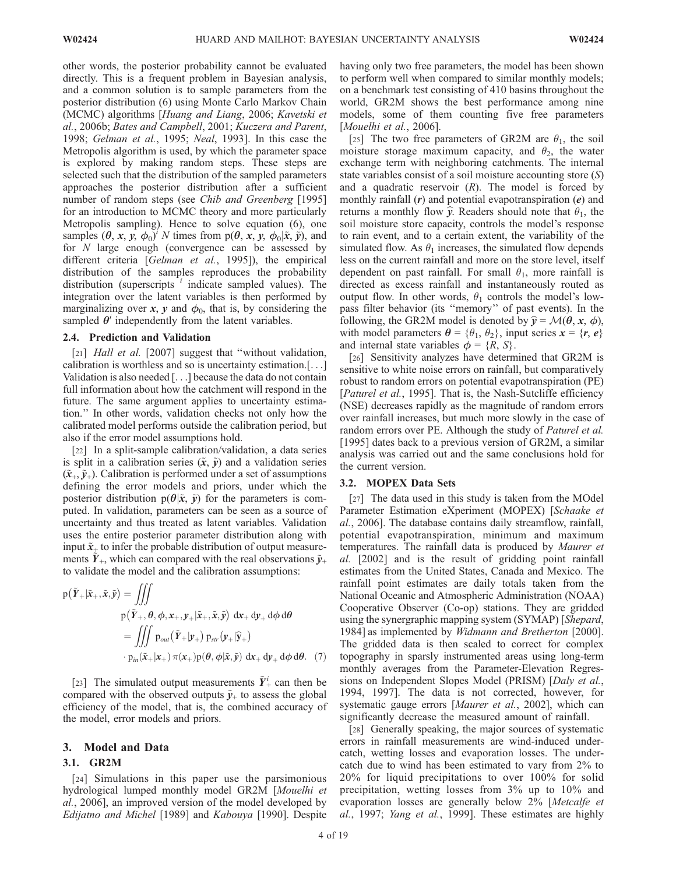other words, the posterior probability cannot be evaluated directly. This is a frequent problem in Bayesian analysis, and a common solution is to sample parameters from the posterior distribution (6) using Monte Carlo Markov Chain (MCMC) algorithms [Huang and Liang, 2006; Kavetski et al., 2006b; Bates and Campbell, 2001; Kuczera and Parent, 1998; Gelman et al., 1995; Neal, 1993]. In this case the Metropolis algorithm is used, by which the parameter space is explored by making random steps. These steps are selected such that the distribution of the sampled parameters approaches the posterior distribution after a sufficient number of random steps (see Chib and Greenberg [1995] for an introduction to MCMC theory and more particularly Metropolis sampling). Hence to solve equation (6), one samples  $(\theta, x, y, \phi_0)^i N$  times from  $p(\theta, x, y, \phi_0 | \tilde{x}, \tilde{y})$ , and for N large enough (convergence can be assessed by different criteria [Gelman et al., 1995]), the empirical distribution of the samples reproduces the probability distribution (superscripts  $i$  indicate sampled values). The integration over the latent variables is then performed by marginalizing over x, y and  $\phi_0$ , that is, by considering the sampled  $\theta^i$  independently from the latent variables.

# 2.4. Prediction and Validation

[21] *Hall et al.* [2007] suggest that "without validation, calibration is worthless and so is uncertainty estimation.[...] Validation is also needed [...] because the data do not contain full information about how the catchment will respond in the future. The same argument applies to uncertainty estimation.'' In other words, validation checks not only how the calibrated model performs outside the calibration period, but also if the error model assumptions hold.

[22] In a split-sample calibration/validation, a data series is split in a calibration series  $(\tilde{x}, \tilde{y})$  and a validation series  $({\tilde{x}}_+, {\tilde{y}}_+)$ . Calibration is performed under a set of assumptions defining the error models and priors, under which the posterior distribution  $p(\theta|\tilde{x}, \tilde{y})$  for the parameters is computed. In validation, parameters can be seen as a source of uncertainty and thus treated as latent variables. Validation uses the entire posterior parameter distribution along with input  $\tilde{x}_+$  to infer the probable distribution of output measurements  $\tilde{Y}_+$ , which can compared with the real observations  $\tilde{y}_+$ to validate the model and the calibration assumptions:

$$
p(\tilde{Y}_{+}|\tilde{x}_{+}, \tilde{x}, \tilde{y}) = \iiint \n\begin{aligned}\n& p(\tilde{Y}_{+}, \theta, \phi, x_{+}, y_{+}|\tilde{x}_{+}, \tilde{x}, \tilde{y}) \, dx_{+} \, dy_{+} \, d\phi \, d\theta \\
& = \iiint p_{out}(\tilde{Y}_{+} | y_{+}) p_{str}(y_{+}|\tilde{y}_{+}) \\
& \cdot p_{in}(\tilde{x}_{+} | x_{+}) \, \pi(x_{+}) p(\theta, \phi | \tilde{x}, \tilde{y}) \, dx_{+} \, dy_{+} \, d\phi \, d\theta.\n\end{aligned}
$$
 (7)

[23] The simulated output measurements  $\tilde{Y}^i_+$  can then be compared with the observed outputs  $\tilde{y}_+$  to assess the global efficiency of the model, that is, the combined accuracy of the model, error models and priors.

# 3. Model and Data

# 3.1. GR2M

[24] Simulations in this paper use the parsimonious hydrological lumped monthly model GR2M [Mouelhi et al., 2006], an improved version of the model developed by Edijatno and Michel [1989] and Kabouya [1990]. Despite having only two free parameters, the model has been shown to perform well when compared to similar monthly models; on a benchmark test consisting of 410 basins throughout the world, GR2M shows the best performance among nine models, some of them counting five free parameters [Mouelhi et al., 2006].

[25] The two free parameters of GR2M are  $\theta_1$ , the soil moisture storage maximum capacity, and  $\theta_2$ , the water exchange term with neighboring catchments. The internal state variables consist of a soil moisture accounting store (S) and a quadratic reservoir  $(R)$ . The model is forced by monthly rainfall  $(r)$  and potential evapotranspiration  $(e)$  and returns a monthly flow  $\hat{y}$ . Readers should note that  $\theta_1$ , the soil moisture store capacity, controls the model's response to rain event, and to a certain extent, the variability of the simulated flow. As  $\theta_1$  increases, the simulated flow depends less on the current rainfall and more on the store level, itself dependent on past rainfall. For small  $\theta_1$ , more rainfall is directed as excess rainfall and instantaneously routed as output flow. In other words,  $\theta_1$  controls the model's lowpass filter behavior (its ''memory'' of past events). In the following, the GR2M model is denoted by  $\hat{y} = \mathcal{M}(\theta, x, \phi)$ , with model parameters  $\theta = {\theta_1, \theta_2}$ , input series  $x = {r, e}$ and internal state variables  $\phi = \{R, S\}.$ 

[26] Sensitivity analyzes have determined that GR2M is sensitive to white noise errors on rainfall, but comparatively robust to random errors on potential evapotranspiration (PE) [Paturel et al., 1995]. That is, the Nash-Sutcliffe efficiency (NSE) decreases rapidly as the magnitude of random errors over rainfall increases, but much more slowly in the case of random errors over PE. Although the study of Paturel et al. [1995] dates back to a previous version of GR2M, a similar analysis was carried out and the same conclusions hold for the current version.

# 3.2. MOPEX Data Sets

[27] The data used in this study is taken from the MOdel Parameter Estimation eXperiment (MOPEX) [Schaake et al., 2006]. The database contains daily streamflow, rainfall, potential evapotranspiration, minimum and maximum temperatures. The rainfall data is produced by Maurer et al. [2002] and is the result of gridding point rainfall estimates from the United States, Canada and Mexico. The rainfall point estimates are daily totals taken from the National Oceanic and Atmospheric Administration (NOAA) Cooperative Observer (Co-op) stations. They are gridded using the synergraphic mapping system (SYMAP) [Shepard, 1984] as implemented by Widmann and Bretherton [2000]. The gridded data is then scaled to correct for complex topography in sparsly instrumented areas using long-term monthly averages from the Parameter-Elevation Regressions on Independent Slopes Model (PRISM) [Daly et al., 1994, 1997]. The data is not corrected, however, for systematic gauge errors [Maurer et al., 2002], which can significantly decrease the measured amount of rainfall.

[28] Generally speaking, the major sources of systematic errors in rainfall measurements are wind-induced undercatch, wetting losses and evaporation losses. The undercatch due to wind has been estimated to vary from 2% to 20% for liquid precipitations to over 100% for solid precipitation, wetting losses from 3% up to 10% and evaporation losses are generally below 2% [Metcalfe et al., 1997; Yang et al., 1999]. These estimates are highly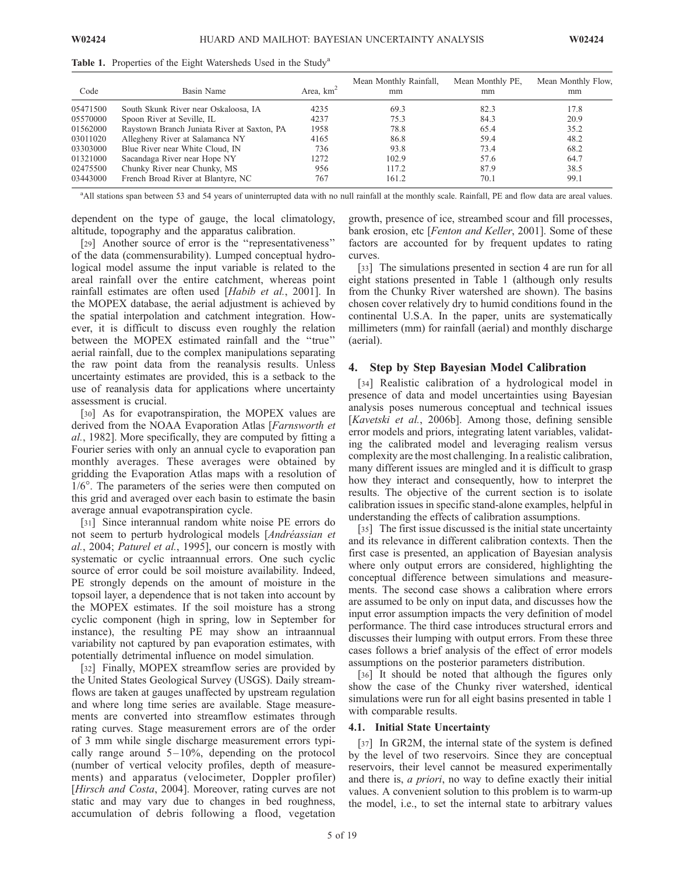| Code     | Basin Name                                  | Area, $km2$ | Mean Monthly Rainfall,<br>mm | Mean Monthly PE,<br>mm | Mean Monthly Flow,<br>mm |
|----------|---------------------------------------------|-------------|------------------------------|------------------------|--------------------------|
| 05471500 | South Skunk River near Oskaloosa, IA        | 4235        | 69.3                         | 82.3                   | 17.8                     |
| 05570000 | Spoon River at Seville, IL                  | 4237        | 75.3                         | 84.3                   | 20.9                     |
| 01562000 | Raystown Branch Juniata River at Saxton, PA | 1958        | 78.8                         | 65.4                   | 35.2                     |
| 03011020 | Allegheny River at Salamanca NY             | 4165        | 86.8                         | 59.4                   | 48.2                     |
| 03303000 | Blue River near White Cloud, IN             | 736         | 93.8                         | 73.4                   | 68.2                     |
| 01321000 | Sacandaga River near Hope NY                | 1272        | 102.9                        | 57.6                   | 64.7                     |
| 02475500 | Chunky River near Chunky, MS                | 956         | 117.2                        | 87.9                   | 38.5                     |
| 03443000 | French Broad River at Blantyre, NC          | 767         | 161.2                        | 70.1                   | 99.1                     |

Table 1. Properties of the Eight Watersheds Used in the Study<sup>a</sup>

<sup>a</sup> All stations span between 53 and 54 years of uninterrupted data with no null rainfall at the monthly scale. Rainfall, PE and flow data are areal values.

dependent on the type of gauge, the local climatology, altitude, topography and the apparatus calibration.

[29] Another source of error is the ''representativeness'' of the data (commensurability). Lumped conceptual hydrological model assume the input variable is related to the areal rainfall over the entire catchment, whereas point rainfall estimates are often used [Habib et al., 2001]. In the MOPEX database, the aerial adjustment is achieved by the spatial interpolation and catchment integration. However, it is difficult to discuss even roughly the relation between the MOPEX estimated rainfall and the "true" aerial rainfall, due to the complex manipulations separating the raw point data from the reanalysis results. Unless uncertainty estimates are provided, this is a setback to the use of reanalysis data for applications where uncertainty assessment is crucial.

[30] As for evapotranspiration, the MOPEX values are derived from the NOAA Evaporation Atlas [Farnsworth et al., 1982]. More specifically, they are computed by fitting a Fourier series with only an annual cycle to evaporation pan monthly averages. These averages were obtained by gridding the Evaporation Atlas maps with a resolution of  $1/6^\circ$ . The parameters of the series were then computed on this grid and averaged over each basin to estimate the basin average annual evapotranspiration cycle.

[31] Since interannual random white noise PE errors do not seem to perturb hydrological models [Andréassian et al., 2004; Paturel et al., 1995], our concern is mostly with systematic or cyclic intraannual errors. One such cyclic source of error could be soil moisture availability. Indeed, PE strongly depends on the amount of moisture in the topsoil layer, a dependence that is not taken into account by the MOPEX estimates. If the soil moisture has a strong cyclic component (high in spring, low in September for instance), the resulting PE may show an intraannual variability not captured by pan evaporation estimates, with potentially detrimental influence on model simulation.

[32] Finally, MOPEX streamflow series are provided by the United States Geological Survey (USGS). Daily streamflows are taken at gauges unaffected by upstream regulation and where long time series are available. Stage measurements are converted into streamflow estimates through rating curves. Stage measurement errors are of the order of 3 mm while single discharge measurement errors typically range around  $5-10\%$ , depending on the protocol (number of vertical velocity profiles, depth of measurements) and apparatus (velocimeter, Doppler profiler) [Hirsch and Costa, 2004]. Moreover, rating curves are not static and may vary due to changes in bed roughness, accumulation of debris following a flood, vegetation

growth, presence of ice, streambed scour and fill processes, bank erosion, etc [*Fenton and Keller*, 2001]. Some of these factors are accounted for by frequent updates to rating curves.

[33] The simulations presented in section 4 are run for all eight stations presented in Table 1 (although only results from the Chunky River watershed are shown). The basins chosen cover relatively dry to humid conditions found in the continental U.S.A. In the paper, units are systematically millimeters (mm) for rainfall (aerial) and monthly discharge (aerial).

### 4. Step by Step Bayesian Model Calibration

[34] Realistic calibration of a hydrological model in presence of data and model uncertainties using Bayesian analysis poses numerous conceptual and technical issues [Kavetski et al., 2006b]. Among those, defining sensible error models and priors, integrating latent variables, validating the calibrated model and leveraging realism versus complexity are the most challenging. In a realistic calibration, many different issues are mingled and it is difficult to grasp how they interact and consequently, how to interpret the results. The objective of the current section is to isolate calibration issues in specific stand-alone examples, helpful in understanding the effects of calibration assumptions.

[35] The first issue discussed is the initial state uncertainty and its relevance in different calibration contexts. Then the first case is presented, an application of Bayesian analysis where only output errors are considered, highlighting the conceptual difference between simulations and measurements. The second case shows a calibration where errors are assumed to be only on input data, and discusses how the input error assumption impacts the very definition of model performance. The third case introduces structural errors and discusses their lumping with output errors. From these three cases follows a brief analysis of the effect of error models assumptions on the posterior parameters distribution.

[36] It should be noted that although the figures only show the case of the Chunky river watershed, identical simulations were run for all eight basins presented in table 1 with comparable results.

### 4.1. Initial State Uncertainty

[37] In GR2M, the internal state of the system is defined by the level of two reservoirs. Since they are conceptual reservoirs, their level cannot be measured experimentally and there is, *a priori*, no way to define exactly their initial values. A convenient solution to this problem is to warm-up the model, i.e., to set the internal state to arbitrary values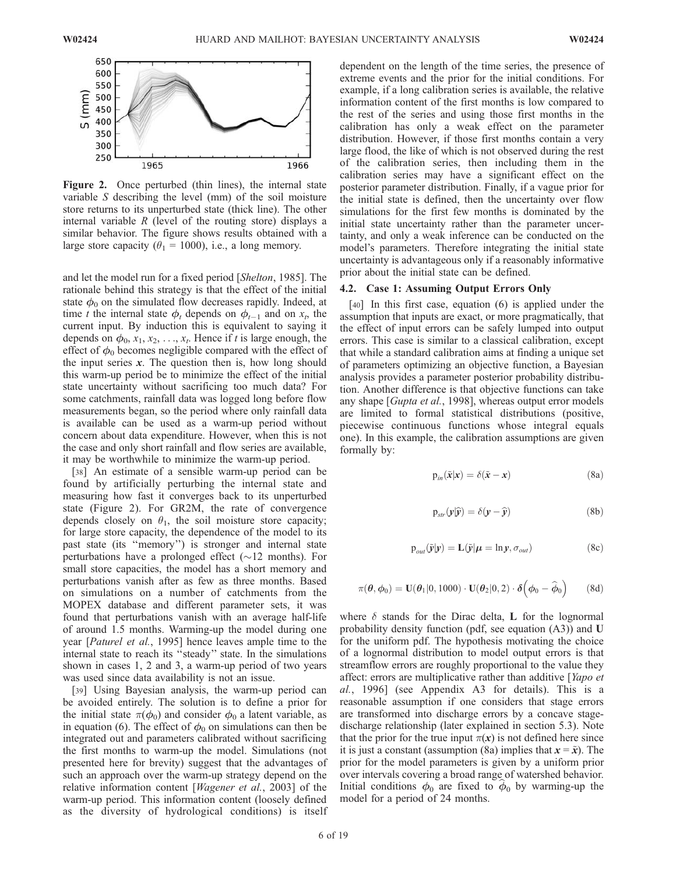

Figure 2. Once perturbed (thin lines), the internal state variable S describing the level (mm) of the soil moisture store returns to its unperturbed state (thick line). The other internal variable  $R$  (level of the routing store) displays a similar behavior. The figure shows results obtained with a large store capacity ( $\theta_1$  = 1000), i.e., a long memory.

and let the model run for a fixed period [Shelton, 1985]. The rationale behind this strategy is that the effect of the initial state  $\phi_0$  on the simulated flow decreases rapidly. Indeed, at time t the internal state  $\phi_t$  depends on  $\phi_{t-1}$  and on  $x_t$ , the current input. By induction this is equivalent to saying it depends on  $\phi_0, x_1, x_2, \ldots, x_t$ . Hence if t is large enough, the effect of  $\phi_0$  becomes negligible compared with the effect of the input series  $x$ . The question then is, how long should this warm-up period be to minimize the effect of the initial state uncertainty without sacrificing too much data? For some catchments, rainfall data was logged long before flow measurements began, so the period where only rainfall data is available can be used as a warm-up period without concern about data expenditure. However, when this is not the case and only short rainfall and flow series are available, it may be worthwhile to minimize the warm-up period.

[38] An estimate of a sensible warm-up period can be found by artificially perturbing the internal state and measuring how fast it converges back to its unperturbed state (Figure 2). For GR2M, the rate of convergence depends closely on  $\theta_1$ , the soil moisture store capacity; for large store capacity, the dependence of the model to its past state (its ''memory'') is stronger and internal state perturbations have a prolonged effect  $(\sim 12$  months). For small store capacities, the model has a short memory and perturbations vanish after as few as three months. Based on simulations on a number of catchments from the MOPEX database and different parameter sets, it was found that perturbations vanish with an average half-life of around 1.5 months. Warming-up the model during one year [*Paturel et al.*, 1995] hence leaves ample time to the internal state to reach its ''steady'' state. In the simulations shown in cases 1, 2 and 3, a warm-up period of two years was used since data availability is not an issue.

[39] Using Bayesian analysis, the warm-up period can be avoided entirely. The solution is to define a prior for the initial state  $\pi(\phi_0)$  and consider  $\phi_0$  a latent variable, as in equation (6). The effect of  $\phi_0$  on simulations can then be integrated out and parameters calibrated without sacrificing the first months to warm-up the model. Simulations (not presented here for brevity) suggest that the advantages of such an approach over the warm-up strategy depend on the relative information content [Wagener et al., 2003] of the warm-up period. This information content (loosely defined as the diversity of hydrological conditions) is itself

dependent on the length of the time series, the presence of extreme events and the prior for the initial conditions. For example, if a long calibration series is available, the relative information content of the first months is low compared to the rest of the series and using those first months in the calibration has only a weak effect on the parameter distribution. However, if those first months contain a very large flood, the like of which is not observed during the rest of the calibration series, then including them in the calibration series may have a significant effect on the posterior parameter distribution. Finally, if a vague prior for the initial state is defined, then the uncertainty over flow simulations for the first few months is dominated by the initial state uncertainty rather than the parameter uncertainty, and only a weak inference can be conducted on the model's parameters. Therefore integrating the initial state uncertainty is advantageous only if a reasonably informative prior about the initial state can be defined.

### 4.2. Case 1: Assuming Output Errors Only

[40] In this first case, equation (6) is applied under the assumption that inputs are exact, or more pragmatically, that the effect of input errors can be safely lumped into output errors. This case is similar to a classical calibration, except that while a standard calibration aims at finding a unique set of parameters optimizing an objective function, a Bayesian analysis provides a parameter posterior probability distribution. Another difference is that objective functions can take any shape [Gupta et al., 1998], whereas output error models are limited to formal statistical distributions (positive, piecewise continuous functions whose integral equals one). In this example, the calibration assumptions are given formally by:

$$
p_{in}(\tilde{x}|x) = \delta(\tilde{x} - x)
$$
 (8a)

$$
p_{str}(\mathbf{y}|\widehat{\mathbf{y}}) = \delta(\mathbf{y} - \widehat{\mathbf{y}})
$$
 (8b)

$$
p_{out}(\tilde{y}|y) = L(\tilde{y}|\mu = \ln y, \sigma_{out})
$$
 (8c)

$$
\pi(\boldsymbol{\theta}, \boldsymbol{\phi}_0) = \mathbf{U}(\boldsymbol{\theta}_1 | 0, 1000) \cdot \mathbf{U}(\boldsymbol{\theta}_2 | 0, 2) \cdot \boldsymbol{\delta} \left( \boldsymbol{\phi}_0 - \widehat{\boldsymbol{\phi}}_0 \right) \tag{8d}
$$

where  $\delta$  stands for the Dirac delta, L for the lognormal probability density function (pdf, see equation (A3)) and U for the uniform pdf. The hypothesis motivating the choice of a lognormal distribution to model output errors is that streamflow errors are roughly proportional to the value they affect: errors are multiplicative rather than additive [Yapo et al., 1996] (see Appendix A3 for details). This is a reasonable assumption if one considers that stage errors are transformed into discharge errors by a concave stagedischarge relationship (later explained in section 5.3). Note that the prior for the true input  $\pi(x)$  is not defined here since it is just a constant (assumption (8a) implies that  $x = \tilde{x}$ ). The prior for the model parameters is given by a uniform prior over intervals covering a broad range of watershed behavior. Initial conditions  $\phi_0$  are fixed to  $\phi_0$  by warming-up the model for a period of 24 months.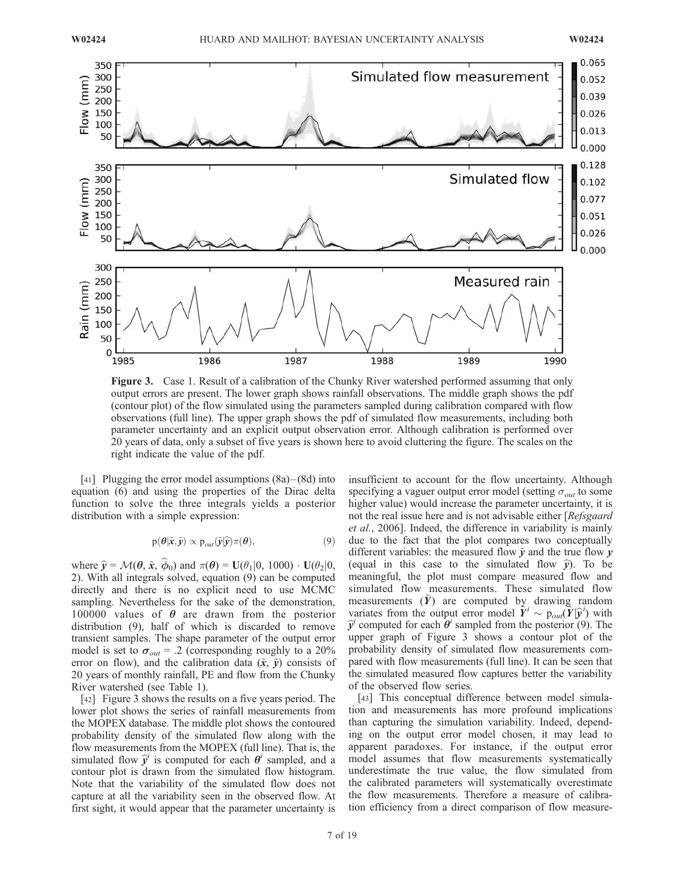

Figure 3. Case 1. Result of a calibration of the Chunky River watershed performed assuming that only output errors are present. The lower graph shows rainfall observations. The middle graph shows the pdf (contour plot) of the flow simulated using the parameters sampled during calibration compared with flow observations (full line). The upper graph shows the pdf of simulated flow measurements, including both parameter uncertainty and an explicit output observation error. Although calibration is performed over 20 years of data, only a subset of five years is shown here to avoid cluttering the figure. The scales on the right indicate the value of the pdf.

[41] Plugging the error model assumptions  $(8a) - (8d)$  into equation (6) and using the properties of the Dirac delta function to solve the three integrals yields a posterior distribution with a simple expression:

$$
p(\boldsymbol{\theta}|\tilde{\mathbf{x}}, \tilde{\mathbf{y}}) \propto p_{out}(\tilde{\mathbf{y}}|\hat{\mathbf{y}})\pi(\boldsymbol{\theta}),
$$
\n(9)

where  $\hat{y} = \mathcal{M}(\theta, \tilde{x}, \phi_0)$  and  $\pi(\theta) = \mathbf{U}(\theta_1 | 0, 1000) \cdot \mathbf{U}(\theta_2 | 0,$ 2). With all integrals solved, equation (9) can be computed directly and there is no explicit need to use MCMC sampling. Nevertheless for the sake of the demonstration, 100000 values of  $\theta$  are drawn from the posterior distribution (9), half of which is discarded to remove transient samples. The shape parameter of the output error model is set to  $\sigma_{out}$  = .2 (corresponding roughly to a 20% error on flow), and the calibration data  $(\tilde{x}, \tilde{y})$  consists of 20 years of monthly rainfall, PE and flow from the Chunky River watershed (see Table 1).

[42] Figure 3 shows the results on a five years period. The lower plot shows the series of rainfall measurements from the MOPEX database. The middle plot shows the contoured probability density of the simulated flow along with the flow measurements from the MOPEX (full line). That is, the simulated flow  $\hat{y}^i$  is computed for each  $\theta^i$  sampled, and a contour plot is drawn from the simulated flow histogram. Note that the variability of the simulated flow does not capture at all the variability seen in the observed flow. At first sight, it would appear that the parameter uncertainty is insufficient to account for the flow uncertainty. Although specifying a vaguer output error model (setting  $\sigma_{out}$  to some higher value) would increase the parameter uncertainty, it is not the real issue here and is not advisable either [Refsgaard] et al., 2006]. Indeed, the difference in variability is mainly due to the fact that the plot compares two conceptually different variables: the measured flow  $\tilde{y}$  and the true flow  $y$ (equal in this case to the simulated flow  $\hat{y}$ ). To be meaningful, the plot must compare measured flow and simulated flow measurements. These simulated flow measurements  $(Y^{\prime})$  are computed by drawing random variates from the output error model  $\tilde{Y}^i \sim p_{out}(\tilde{Y}|\hat{y}^i)$  with  $\hat{y}^i$  computed for each  $\hat{\theta}^i$  sampled from the posterior (9). The upper graph of Figure 3 shows a contour plot of the probability density of simulated flow measurements compared with flow measurements (full line). It can be seen that the simulated measured flow captures better the variability of the observed flow series.

[43] This conceptual difference between model simulation and measurements has more profound implications than capturing the simulation variability. Indeed, depending on the output error model chosen, it may lead to apparent paradoxes. For instance, if the output error model assumes that flow measurements systematically underestimate the true value, the flow simulated from the calibrated parameters will systematically overestimate the flow measurements. Therefore a measure of calibration efficiency from a direct comparison of flow measure-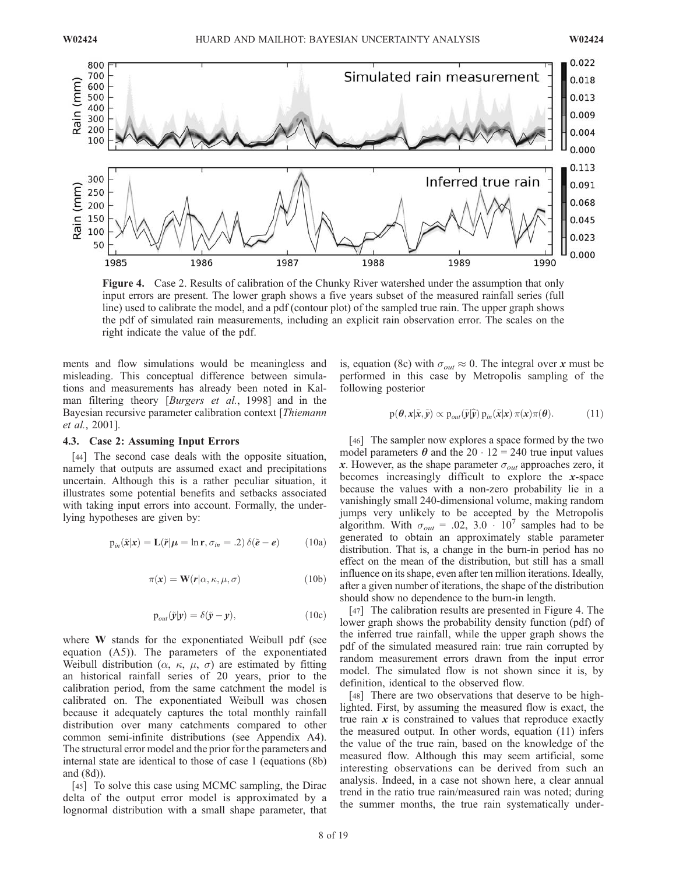

Figure 4. Case 2. Results of calibration of the Chunky River watershed under the assumption that only input errors are present. The lower graph shows a five years subset of the measured rainfall series (full line) used to calibrate the model, and a pdf (contour plot) of the sampled true rain. The upper graph shows the pdf of simulated rain measurements, including an explicit rain observation error. The scales on the right indicate the value of the pdf.

ments and flow simulations would be meaningless and misleading. This conceptual difference between simulations and measurements has already been noted in Kalman filtering theory [Burgers et al., 1998] and in the Bayesian recursive parameter calibration context [Thiemann et al., 2001].

### 4.3. Case 2: Assuming Input Errors

[44] The second case deals with the opposite situation, namely that outputs are assumed exact and precipitations uncertain. Although this is a rather peculiar situation, it illustrates some potential benefits and setbacks associated with taking input errors into account. Formally, the underlying hypotheses are given by:

$$
p_{in}(\tilde{x}|x) = L(\tilde{r}|\mu = \ln r, \sigma_{in} = .2) \delta(\tilde{e} - e)
$$
 (10a)

$$
\pi(\mathbf{x}) = \mathbf{W}(\mathbf{r}|\alpha, \kappa, \mu, \sigma) \tag{10b}
$$

$$
p_{out}(\tilde{y}|y) = \delta(\tilde{y} - y), \qquad (10c)
$$

where W stands for the exponentiated Weibull pdf (see equation (A5)). The parameters of the exponentiated Weibull distribution ( $\alpha$ ,  $\kappa$ ,  $\mu$ ,  $\sigma$ ) are estimated by fitting an historical rainfall series of 20 years, prior to the calibration period, from the same catchment the model is calibrated on. The exponentiated Weibull was chosen because it adequately captures the total monthly rainfall distribution over many catchments compared to other common semi-infinite distributions (see Appendix A4). The structural error model and the prior for the parameters and internal state are identical to those of case 1 (equations (8b) and (8d)).

[45] To solve this case using MCMC sampling, the Dirac delta of the output error model is approximated by a lognormal distribution with a small shape parameter, that

is, equation (8c) with  $\sigma_{out} \approx 0$ . The integral over x must be performed in this case by Metropolis sampling of the following posterior

$$
p(\boldsymbol{\theta}, \mathbf{x} | \tilde{\mathbf{x}}, \tilde{\mathbf{y}}) \propto p_{out}(\tilde{\mathbf{y}} | \hat{\mathbf{y}}) p_{in}(\tilde{\mathbf{x}} | \mathbf{x}) \pi(\mathbf{x}) \pi(\boldsymbol{\theta}). \tag{11}
$$

[46] The sampler now explores a space formed by the two model parameters  $\theta$  and the 20  $\cdot$  12 = 240 true input values x. However, as the shape parameter  $\sigma_{out}$  approaches zero, it becomes increasingly difficult to explore the  $x$ -space because the values with a non-zero probability lie in a vanishingly small 240-dimensional volume, making random jumps very unlikely to be accepted by the Metropolis algorithm. With  $\sigma_{out} = .02, 3.0 \cdot 10^{7}$  samples had to be generated to obtain an approximately stable parameter distribution. That is, a change in the burn-in period has no effect on the mean of the distribution, but still has a small influence on its shape, even after ten million iterations. Ideally, after a given number of iterations, the shape of the distribution should show no dependence to the burn-in length.

[47] The calibration results are presented in Figure 4. The lower graph shows the probability density function (pdf) of the inferred true rainfall, while the upper graph shows the pdf of the simulated measured rain: true rain corrupted by random measurement errors drawn from the input error model. The simulated flow is not shown since it is, by definition, identical to the observed flow.

[48] There are two observations that deserve to be highlighted. First, by assuming the measured flow is exact, the true rain  $x$  is constrained to values that reproduce exactly the measured output. In other words, equation (11) infers the value of the true rain, based on the knowledge of the measured flow. Although this may seem artificial, some interesting observations can be derived from such an analysis. Indeed, in a case not shown here, a clear annual trend in the ratio true rain/measured rain was noted; during the summer months, the true rain systematically under-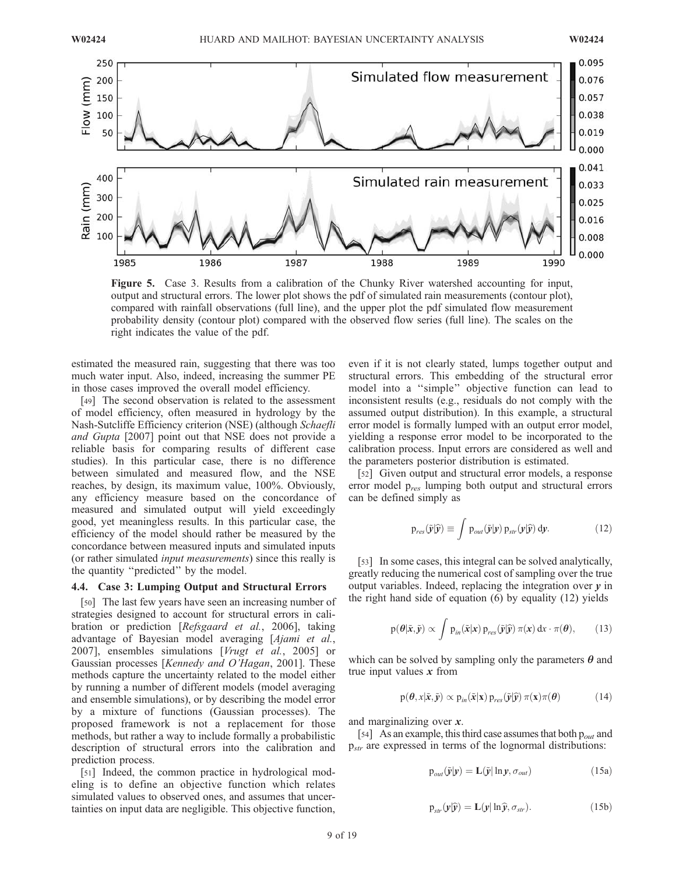

Figure 5. Case 3. Results from a calibration of the Chunky River watershed accounting for input, output and structural errors. The lower plot shows the pdf of simulated rain measurements (contour plot), compared with rainfall observations (full line), and the upper plot the pdf simulated flow measurement probability density (contour plot) compared with the observed flow series (full line). The scales on the right indicates the value of the pdf.

estimated the measured rain, suggesting that there was too much water input. Also, indeed, increasing the summer PE in those cases improved the overall model efficiency.

[49] The second observation is related to the assessment of model efficiency, often measured in hydrology by the Nash-Sutcliffe Efficiency criterion (NSE) (although Schaefli and Gupta [2007] point out that NSE does not provide a reliable basis for comparing results of different case studies). In this particular case, there is no difference between simulated and measured flow, and the NSE reaches, by design, its maximum value, 100%. Obviously, any efficiency measure based on the concordance of measured and simulated output will yield exceedingly good, yet meaningless results. In this particular case, the efficiency of the model should rather be measured by the concordance between measured inputs and simulated inputs (or rather simulated *input measurements*) since this really is the quantity ''predicted'' by the model.

### 4.4. Case 3: Lumping Output and Structural Errors

[50] The last few years have seen an increasing number of strategies designed to account for structural errors in calibration or prediction [Refsgaard et al., 2006], taking advantage of Bayesian model averaging [Ajami et al., 2007], ensembles simulations [Vrugt et al., 2005] or Gaussian processes [Kennedy and O'Hagan, 2001]. These methods capture the uncertainty related to the model either by running a number of different models (model averaging and ensemble simulations), or by describing the model error by a mixture of functions (Gaussian processes). The proposed framework is not a replacement for those methods, but rather a way to include formally a probabilistic description of structural errors into the calibration and prediction process.

[51] Indeed, the common practice in hydrological modeling is to define an objective function which relates simulated values to observed ones, and assumes that uncertainties on input data are negligible. This objective function,

even if it is not clearly stated, lumps together output and structural errors. This embedding of the structural error model into a ''simple'' objective function can lead to inconsistent results (e.g., residuals do not comply with the assumed output distribution). In this example, a structural error model is formally lumped with an output error model, yielding a response error model to be incorporated to the calibration process. Input errors are considered as well and the parameters posterior distribution is estimated.

[52] Given output and structural error models, a response error model  $p_{res}$  lumping both output and structural errors can be defined simply as

$$
p_{res}(\tilde{y}|\tilde{y}) \equiv \int p_{out}(\tilde{y}|y) p_{str}(y|\tilde{y}) dy.
$$
 (12)

[53] In some cases, this integral can be solved analytically, greatly reducing the numerical cost of sampling over the true output variables. Indeed, replacing the integration over  $\nu$  in the right hand side of equation (6) by equality (12) yields

$$
p(\boldsymbol{\theta}|\tilde{\mathbf{x}}, \tilde{\mathbf{y}}) \propto \int p_{in}(\tilde{\mathbf{x}}|\mathbf{x}) p_{res}(\tilde{\mathbf{y}}|\hat{\mathbf{y}}) \pi(\mathbf{x}) dx \cdot \pi(\boldsymbol{\theta}), \qquad (13)
$$

which can be solved by sampling only the parameters  $\theta$  and true input values  $x$  from

$$
p(\boldsymbol{\theta}, \boldsymbol{x} | \tilde{\boldsymbol{x}}, \tilde{\boldsymbol{y}}) \propto p_{in}(\tilde{\boldsymbol{x}} | \boldsymbol{x}) p_{res}(\tilde{\boldsymbol{y}} | \hat{\boldsymbol{y}}) \pi(\boldsymbol{x}) \pi(\boldsymbol{\theta})
$$
(14)

and marginalizing over  $x$ .

[54] As an example, this third case assumes that both  $p_{out}$  and  $p_{str}$  are expressed in terms of the lognormal distributions:

$$
p_{out}(\tilde{y}|y) = \mathbf{L}(\tilde{y}|\ln y, \sigma_{out})
$$
\n(15a)

$$
p_{str}(\mathbf{y}|\widehat{\mathbf{y}}) = \mathbf{L}(\mathbf{y}|\ln \widehat{\mathbf{y}}, \sigma_{str}).
$$
 (15b)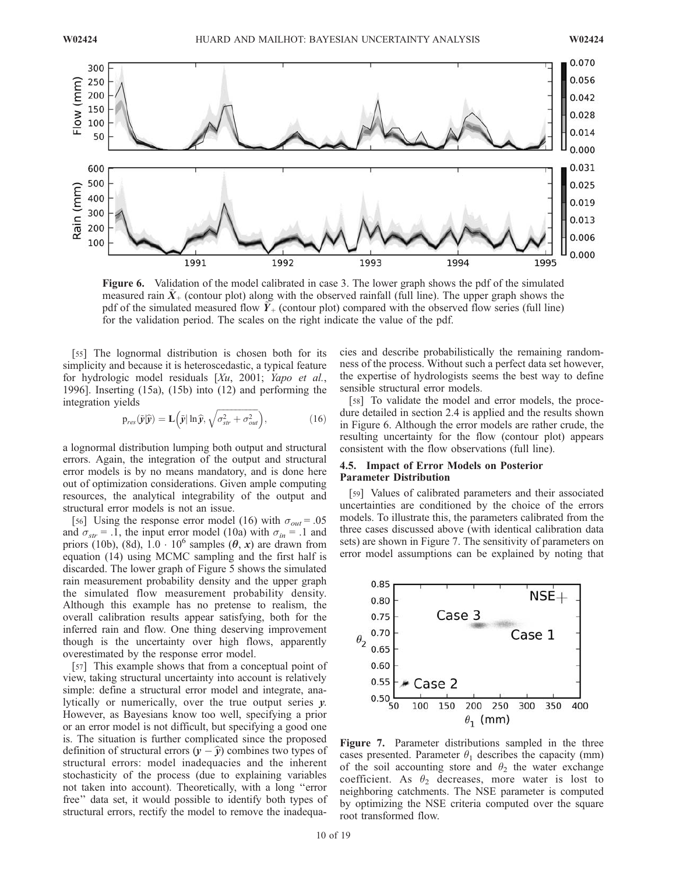

Figure 6. Validation of the model calibrated in case 3. The lower graph shows the pdf of the simulated measured rain  $X_+$  (contour plot) along with the observed rainfall (full line). The upper graph shows the pdf of the simulated measured flow  $\hat{Y}_+$  (contour plot) compared with the observed flow series (full line) for the validation period. The scales on the right indicate the value of the pdf.

[55] The lognormal distribution is chosen both for its simplicity and because it is heteroscedastic, a typical feature for hydrologic model residuals [Xu, 2001; Yapo et al., 1996]. Inserting (15a), (15b) into (12) and performing the integration yields

$$
p_{res}(\tilde{\mathbf{y}}|\hat{\mathbf{y}}) = \mathbf{L} \left( \tilde{\mathbf{y}} \vert \ln \hat{\mathbf{y}}, \sqrt{\sigma_{str}^2 + \sigma_{out}^2} \right), \tag{16}
$$

a lognormal distribution lumping both output and structural errors. Again, the integration of the output and structural error models is by no means mandatory, and is done here out of optimization considerations. Given ample computing resources, the analytical integrability of the output and structural error models is not an issue.

[56] Using the response error model (16) with  $\sigma_{out} = .05$ and  $\sigma_{str} = .1$ , the input error model (10a) with  $\sigma_{in} = .1$  and priors (10b), (8d), 1.0  $\cdot$  10<sup>6</sup> samples ( $\theta$ , x) are drawn from equation (14) using MCMC sampling and the first half is discarded. The lower graph of Figure 5 shows the simulated rain measurement probability density and the upper graph the simulated flow measurement probability density. Although this example has no pretense to realism, the overall calibration results appear satisfying, both for the inferred rain and flow. One thing deserving improvement though is the uncertainty over high flows, apparently overestimated by the response error model.

[57] This example shows that from a conceptual point of view, taking structural uncertainty into account is relatively simple: define a structural error model and integrate, analytically or numerically, over the true output series y. However, as Bayesians know too well, specifying a prior or an error model is not difficult, but specifying a good one is. The situation is further complicated since the proposed definition of structural errors  $(y - \hat{y})$  combines two types of structural errors: model inadequacies and the inherent stochasticity of the process (due to explaining variables not taken into account). Theoretically, with a long ''error free'' data set, it would possible to identify both types of structural errors, rectify the model to remove the inadequacies and describe probabilistically the remaining randomness of the process. Without such a perfect data set however, the expertise of hydrologists seems the best way to define sensible structural error models.

[58] To validate the model and error models, the procedure detailed in section 2.4 is applied and the results shown in Figure 6. Although the error models are rather crude, the resulting uncertainty for the flow (contour plot) appears consistent with the flow observations (full line).

# 4.5. Impact of Error Models on Posterior Parameter Distribution

[59] Values of calibrated parameters and their associated uncertainties are conditioned by the choice of the errors models. To illustrate this, the parameters calibrated from the three cases discussed above (with identical calibration data sets) are shown in Figure 7. The sensitivity of parameters on error model assumptions can be explained by noting that



Figure 7. Parameter distributions sampled in the three cases presented. Parameter  $\theta_1$  describes the capacity (mm) of the soil accounting store and  $\theta_2$  the water exchange coefficient. As  $\theta_2$  decreases, more water is lost to neighboring catchments. The NSE parameter is computed by optimizing the NSE criteria computed over the square root transformed flow.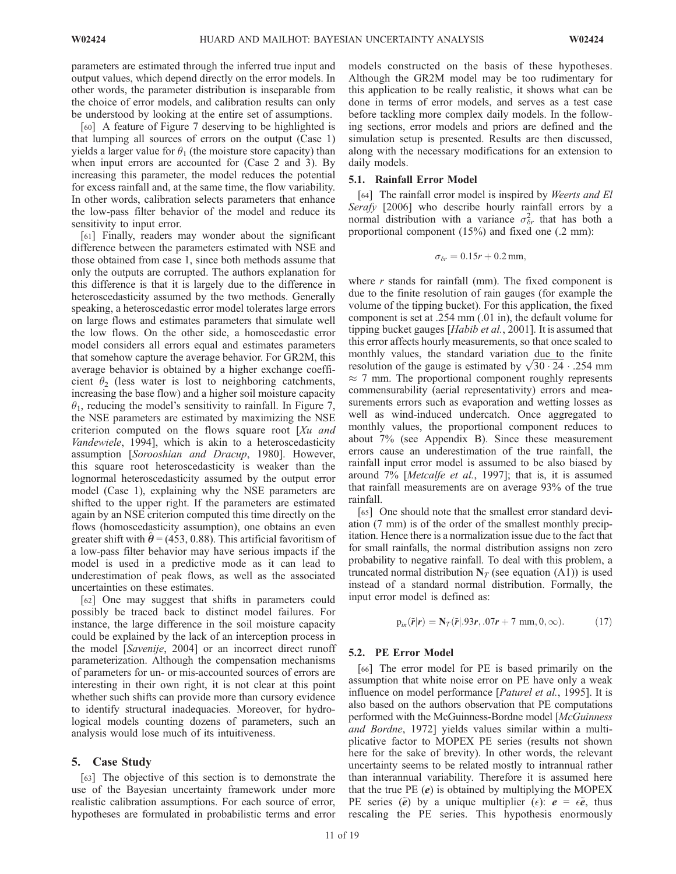parameters are estimated through the inferred true input and output values, which depend directly on the error models. In other words, the parameter distribution is inseparable from the choice of error models, and calibration results can only be understood by looking at the entire set of assumptions.

[60] A feature of Figure 7 deserving to be highlighted is that lumping all sources of errors on the output (Case 1) yields a larger value for  $\theta_1$  (the moisture store capacity) than when input errors are accounted for (Case 2 and 3). By increasing this parameter, the model reduces the potential for excess rainfall and, at the same time, the flow variability. In other words, calibration selects parameters that enhance the low-pass filter behavior of the model and reduce its sensitivity to input error.

[61] Finally, readers may wonder about the significant difference between the parameters estimated with NSE and those obtained from case 1, since both methods assume that only the outputs are corrupted. The authors explanation for this difference is that it is largely due to the difference in heteroscedasticity assumed by the two methods. Generally speaking, a heteroscedastic error model tolerates large errors on large flows and estimates parameters that simulate well the low flows. On the other side, a homoscedastic error model considers all errors equal and estimates parameters that somehow capture the average behavior. For GR2M, this average behavior is obtained by a higher exchange coefficient  $\theta_2$  (less water is lost to neighboring catchments, increasing the base flow) and a higher soil moisture capacity  $\theta_1$ , reducing the model's sensitivity to rainfall. In Figure 7, the NSE parameters are estimated by maximizing the NSE criterion computed on the flows square root [Xu and Vandewiele, 1994], which is akin to a heteroscedasticity assumption [Sorooshian and Dracup, 1980]. However, this square root heteroscedasticity is weaker than the lognormal heteroscedasticity assumed by the output error model (Case 1), explaining why the NSE parameters are shifted to the upper right. If the parameters are estimated again by an NSE criterion computed this time directly on the flows (homoscedasticity assumption), one obtains an even greater shift with  $\hat{\theta} = (453, 0.88)$ . This artificial favoritism of a low-pass filter behavior may have serious impacts if the model is used in a predictive mode as it can lead to underestimation of peak flows, as well as the associated uncertainties on these estimates.

[62] One may suggest that shifts in parameters could possibly be traced back to distinct model failures. For instance, the large difference in the soil moisture capacity could be explained by the lack of an interception process in the model [Savenije, 2004] or an incorrect direct runoff parameterization. Although the compensation mechanisms of parameters for un- or mis-accounted sources of errors are interesting in their own right, it is not clear at this point whether such shifts can provide more than cursory evidence to identify structural inadequacies. Moreover, for hydrological models counting dozens of parameters, such an analysis would lose much of its intuitiveness.

### 5. Case Study

[63] The objective of this section is to demonstrate the use of the Bayesian uncertainty framework under more realistic calibration assumptions. For each source of error, hypotheses are formulated in probabilistic terms and error models constructed on the basis of these hypotheses. Although the GR2M model may be too rudimentary for this application to be really realistic, it shows what can be done in terms of error models, and serves as a test case before tackling more complex daily models. In the following sections, error models and priors are defined and the simulation setup is presented. Results are then discussed, along with the necessary modifications for an extension to daily models.

# 5.1. Rainfall Error Model

[64] The rainfall error model is inspired by Weerts and El Serafy [2006] who describe hourly rainfall errors by a normal distribution with a variance  $\sigma_{\delta r}^2$  that has both a proportional component (15%) and fixed one (.2 mm):

$$
\sigma_{\delta r}=0.15r+0.2 \text{ mm},
$$

where  $r$  stands for rainfall (mm). The fixed component is due to the finite resolution of rain gauges (for example the volume of the tipping bucket). For this application, the fixed component is set at .254 mm (.01 in), the default volume for tipping bucket gauges [Habib et al., 2001]. It is assumed that this error affects hourly measurements, so that once scaled to monthly values, the standard variation due to the finite monthly values, the standard variation due to the finite resolution of the gauge is estimated by  $\sqrt{30 \cdot 24} \cdot .254$  mm  $\approx$  7 mm. The proportional component roughly represents commensurability (aerial representativity) errors and measurements errors such as evaporation and wetting losses as well as wind-induced undercatch. Once aggregated to monthly values, the proportional component reduces to about 7% (see Appendix B). Since these measurement errors cause an underestimation of the true rainfall, the rainfall input error model is assumed to be also biased by around 7% [Metcalfe et al., 1997]; that is, it is assumed that rainfall measurements are on average 93% of the true rainfall.

[65] One should note that the smallest error standard deviation (7 mm) is of the order of the smallest monthly precipitation. Hence there is a normalization issue due to the fact that for small rainfalls, the normal distribution assigns non zero probability to negative rainfall. To deal with this problem, a truncated normal distribution  $N_T$  (see equation (A1)) is used instead of a standard normal distribution. Formally, the input error model is defined as:

$$
\mathbf{p}_{in}(\tilde{\mathbf{r}}|\mathbf{r}) = \mathbf{N}_T(\tilde{\mathbf{r}}|\text{-}93\mathbf{r},\text{-}07\mathbf{r}+7\text{ mm},0,\infty). \tag{17}
$$

### 5.2. PE Error Model

[66] The error model for PE is based primarily on the assumption that white noise error on PE have only a weak influence on model performance [*Paturel et al.*, 1995]. It is also based on the authors observation that PE computations performed with the McGuinness-Bordne model [McGuinness and Bordne, 1972] yields values similar within a multiplicative factor to MOPEX PE series (results not shown here for the sake of brevity). In other words, the relevant uncertainty seems to be related mostly to intrannual rather than interannual variability. Therefore it is assumed here that the true PE  $(e)$  is obtained by multiplying the MOPEX PE series ( $\tilde{e}$ ) by a unique multiplier ( $\epsilon$ ):  $e = \epsilon \tilde{e}$ , thus rescaling the PE series. This hypothesis enormously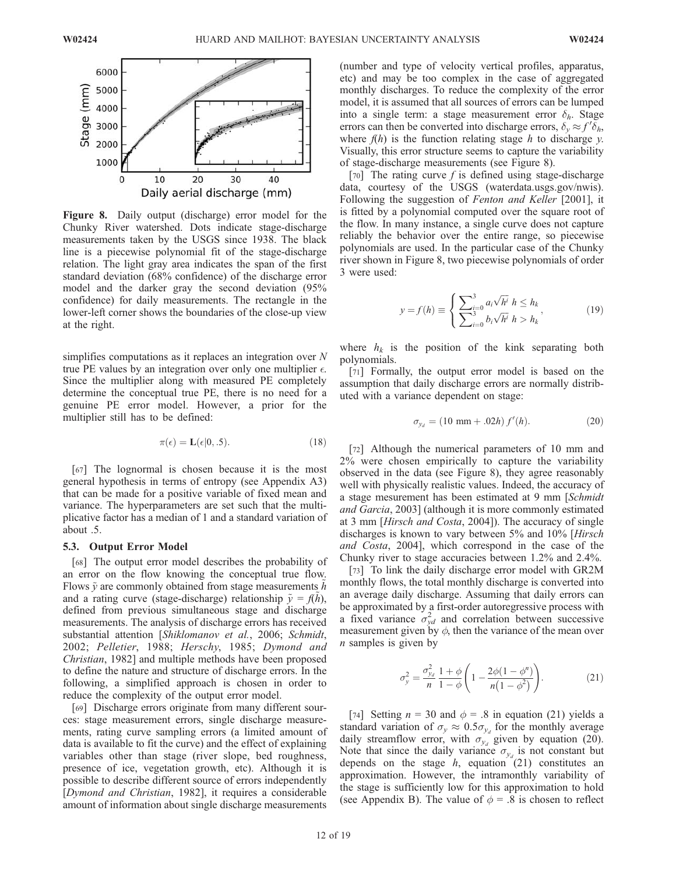

Figure 8. Daily output (discharge) error model for the Chunky River watershed. Dots indicate stage-discharge measurements taken by the USGS since 1938. The black line is a piecewise polynomial fit of the stage-discharge relation. The light gray area indicates the span of the first standard deviation (68% confidence) of the discharge error model and the darker gray the second deviation (95% confidence) for daily measurements. The rectangle in the lower-left corner shows the boundaries of the close-up view at the right.

simplifies computations as it replaces an integration over  $N$ true PE values by an integration over only one multiplier  $\epsilon$ . Since the multiplier along with measured PE completely determine the conceptual true PE, there is no need for a genuine PE error model. However, a prior for the multiplier still has to be defined:

$$
\pi(\epsilon) = \mathbf{L}(\epsilon|0, .5). \tag{18}
$$

[67] The lognormal is chosen because it is the most general hypothesis in terms of entropy (see Appendix A3) that can be made for a positive variable of fixed mean and variance. The hyperparameters are set such that the multiplicative factor has a median of 1 and a standard variation of about .5.

### 5.3. Output Error Model

[68] The output error model describes the probability of an error on the flow knowing the conceptual true flow. Flows  $\tilde{y}$  are commonly obtained from stage measurements h and a rating curve (stage-discharge) relationship  $\tilde{y} = f(h)$ , defined from previous simultaneous stage and discharge measurements. The analysis of discharge errors has received substantial attention [Shiklomanov et al., 2006; Schmidt, 2002; Pelletier, 1988; Herschy, 1985; Dymond and Christian, 1982] and multiple methods have been proposed to define the nature and structure of discharge errors. In the following, a simplified approach is chosen in order to reduce the complexity of the output error model.

[69] Discharge errors originate from many different sources: stage measurement errors, single discharge measurements, rating curve sampling errors (a limited amount of data is available to fit the curve) and the effect of explaining variables other than stage (river slope, bed roughness, presence of ice, vegetation growth, etc). Although it is possible to describe different source of errors independently [Dymond and Christian, 1982], it requires a considerable amount of information about single discharge measurements

(number and type of velocity vertical profiles, apparatus, etc) and may be too complex in the case of aggregated monthly discharges. To reduce the complexity of the error model, it is assumed that all sources of errors can be lumped into a single term: a stage measurement error  $\delta_h$ . Stage errors can then be converted into discharge errors,  $\delta_y \approx f' \delta_h$ , where  $f(h)$  is the function relating stage h to discharge y. Visually, this error structure seems to capture the variability of stage-discharge measurements (see Figure 8).

[70] The rating curve  $f$  is defined using stage-discharge data, courtesy of the USGS (waterdata.usgs.gov/nwis). Following the suggestion of Fenton and Keller [2001], it is fitted by a polynomial computed over the square root of the flow. In many instance, a single curve does not capture reliably the behavior over the entire range, so piecewise polynomials are used. In the particular case of the Chunky river shown in Figure 8, two piecewise polynomials of order 3 were used:

$$
y = f(h) \equiv \begin{cases} \sum_{i=0}^{3} a_i \sqrt{h^i} \ h \le h_k \\ \sum_{i=0}^{3} b_i \sqrt{h^i} \ h > h_k \end{cases}
$$
 (19)

where  $h_k$  is the position of the kink separating both polynomials.

[71] Formally, the output error model is based on the assumption that daily discharge errors are normally distributed with a variance dependent on stage:

$$
\sigma_{y_d} = (10 \text{ mm} + .02h) f'(h). \tag{20}
$$

[72] Although the numerical parameters of 10 mm and 2% were chosen empirically to capture the variability observed in the data (see Figure 8), they agree reasonably well with physically realistic values. Indeed, the accuracy of a stage mesurement has been estimated at 9 mm [Schmidt] and Garcia, 2003] (although it is more commonly estimated at 3 mm [Hirsch and Costa, 2004]). The accuracy of single discharges is known to vary between 5% and 10% [Hirsch and Costa, 2004], which correspond in the case of the Chunky river to stage accuracies between 1.2% and 2.4%.

[73] To link the daily discharge error model with GR2M monthly flows, the total monthly discharge is converted into an average daily discharge. Assuming that daily errors can be approximated by a first-order autoregressive process with a fixed variance  $\sigma_{yd}^2$  and correlation between successive measurement given by  $\phi$ , then the variance of the mean over n samples is given by

$$
\sigma_{y}^{2} = \frac{\sigma_{y_d}^{2}}{n} \frac{1 + \phi}{1 - \phi} \left( 1 - \frac{2\phi(1 - \phi^{n})}{n(1 - \phi^{2})} \right). \tag{21}
$$

[74] Setting  $n = 30$  and  $\phi = .8$  in equation (21) yields a standard variation of  $\sigma_y \approx 0.5 \sigma_{y_d}$  for the monthly average daily streamflow error, with  $\sigma_{y_d}$  given by equation (20). Note that since the daily variance  $\sigma_{y_d}$  is not constant but depends on the stage  $h$ , equation (21) constitutes an approximation. However, the intramonthly variability of the stage is sufficiently low for this approximation to hold (see Appendix B). The value of  $\phi = .8$  is chosen to reflect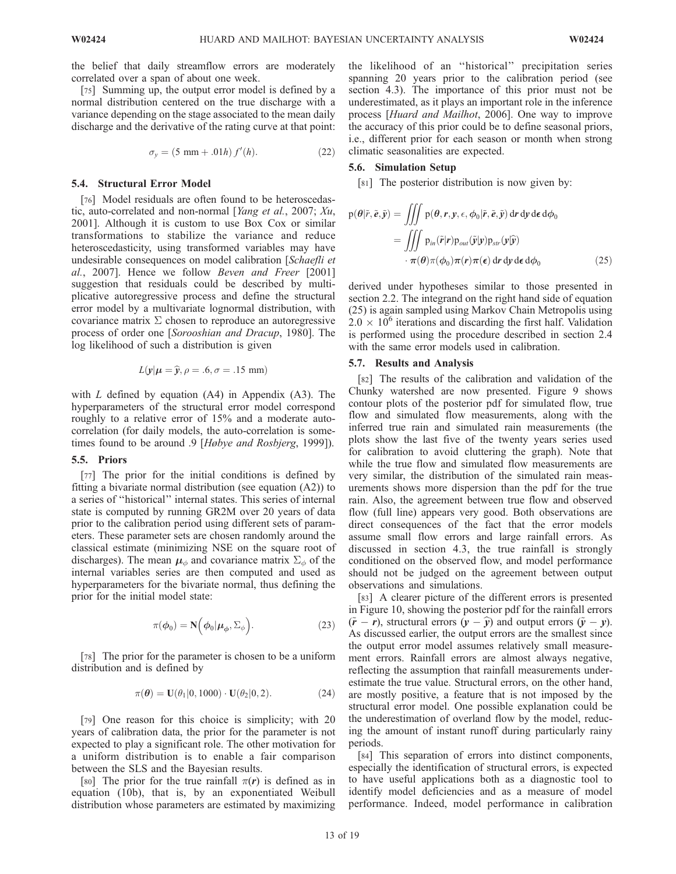the belief that daily streamflow errors are moderately correlated over a span of about one week.

[75] Summing up, the output error model is defined by a normal distribution centered on the true discharge with a variance depending on the stage associated to the mean daily discharge and the derivative of the rating curve at that point:

$$
\sigma_y = (5 \text{ mm} + .01h) f'(h). \tag{22}
$$

### 5.4. Structural Error Model

[76] Model residuals are often found to be heteroscedastic, auto-correlated and non-normal [Yang et al., 2007; Xu, 2001]. Although it is custom to use Box Cox or similar transformations to stabilize the variance and reduce heteroscedasticity, using transformed variables may have undesirable consequences on model calibration [Schaefli et al., 2007]. Hence we follow Beven and Freer [2001] suggestion that residuals could be described by multiplicative autoregressive process and define the structural error model by a multivariate lognormal distribution, with covariance matrix  $\Sigma$  chosen to reproduce an autoregressive process of order one [Sorooshian and Dracup, 1980]. The log likelihood of such a distribution is given

$$
L(\mathbf{y}|\boldsymbol{\mu}=\widehat{\mathbf{y}},\rho=.6,\sigma=.15 \text{ mm})
$$

with  $L$  defined by equation  $(A4)$  in Appendix  $(A3)$ . The hyperparameters of the structural error model correspond roughly to a relative error of 15% and a moderate autocorrelation (for daily models, the auto-correlation is sometimes found to be around .9 [Høbye and Rosbjerg, 1999]).

#### 5.5. Priors

[77] The prior for the initial conditions is defined by fitting a bivariate normal distribution (see equation (A2)) to a series of ''historical'' internal states. This series of internal state is computed by running GR2M over 20 years of data prior to the calibration period using different sets of parameters. These parameter sets are chosen randomly around the classical estimate (minimizing NSE on the square root of discharges). The mean  $\mu_{\phi}$  and covariance matrix  $\Sigma_{\phi}$  of the internal variables series are then computed and used as hyperparameters for the bivariate normal, thus defining the prior for the initial model state:

$$
\pi(\phi_0) = \mathbf{N}(\phi_0 | \boldsymbol{\mu}_{\phi}, \boldsymbol{\Sigma}_{\phi}). \tag{23}
$$

[78] The prior for the parameter is chosen to be a uniform distribution and is defined by

$$
\pi(\boldsymbol{\theta}) = \mathbf{U}(\theta_1|0, 1000) \cdot \mathbf{U}(\theta_2|0, 2). \tag{24}
$$

[79] One reason for this choice is simplicity; with 20 years of calibration data, the prior for the parameter is not expected to play a significant role. The other motivation for a uniform distribution is to enable a fair comparison between the SLS and the Bayesian results.

[80] The prior for the true rainfall  $\pi(r)$  is defined as in equation (10b), that is, by an exponentiated Weibull distribution whose parameters are estimated by maximizing the likelihood of an ''historical'' precipitation series spanning 20 years prior to the calibration period (see section 4.3). The importance of this prior must not be underestimated, as it plays an important role in the inference process [Huard and Mailhot, 2006]. One way to improve the accuracy of this prior could be to define seasonal priors, i.e., different prior for each season or month when strong climatic seasonalities are expected.

### 5.6. Simulation Setup

[81] The posterior distribution is now given by:

$$
p(\theta|\tilde{r}, \tilde{e}, \tilde{y}) = \iiint p(\theta, r, y, \epsilon, \phi_0 | \tilde{r}, \tilde{e}, \tilde{y}) dr dy d\epsilon d\phi_0
$$
  
= 
$$
\iiint p_{in}(\tilde{r}|r)p_{out}(\tilde{y}|y)p_{str}(y|\tilde{y})
$$
  

$$
\cdot \pi(\theta)\pi(\phi_0)\pi(r)\pi(\epsilon) dr dy d\epsilon d\phi_0
$$
 (25)

derived under hypotheses similar to those presented in section 2.2. The integrand on the right hand side of equation (25) is again sampled using Markov Chain Metropolis using  $2.0 \times 10^6$  iterations and discarding the first half. Validation is performed using the procedure described in section 2.4 with the same error models used in calibration.

### 5.7. Results and Analysis

[82] The results of the calibration and validation of the Chunky watershed are now presented. Figure 9 shows contour plots of the posterior pdf for simulated flow, true flow and simulated flow measurements, along with the inferred true rain and simulated rain measurements (the plots show the last five of the twenty years series used for calibration to avoid cluttering the graph). Note that while the true flow and simulated flow measurements are very similar, the distribution of the simulated rain measurements shows more dispersion than the pdf for the true rain. Also, the agreement between true flow and observed flow (full line) appears very good. Both observations are direct consequences of the fact that the error models assume small flow errors and large rainfall errors. As discussed in section 4.3, the true rainfall is strongly conditioned on the observed flow, and model performance should not be judged on the agreement between output observations and simulations.

[83] A clearer picture of the different errors is presented in Figure 10, showing the posterior pdf for the rainfall errors  $({\tilde{r}} - r)$ , structural errors  $(y - \hat{y})$  and output errors  $({\tilde{y}} - y)$ . As discussed earlier, the output errors are the smallest since the output error model assumes relatively small measurement errors. Rainfall errors are almost always negative, reflecting the assumption that rainfall measurements underestimate the true value. Structural errors, on the other hand, are mostly positive, a feature that is not imposed by the structural error model. One possible explanation could be the underestimation of overland flow by the model, reducing the amount of instant runoff during particularly rainy periods.

[84] This separation of errors into distinct components, especially the identification of structural errors, is expected to have useful applications both as a diagnostic tool to identify model deficiencies and as a measure of model performance. Indeed, model performance in calibration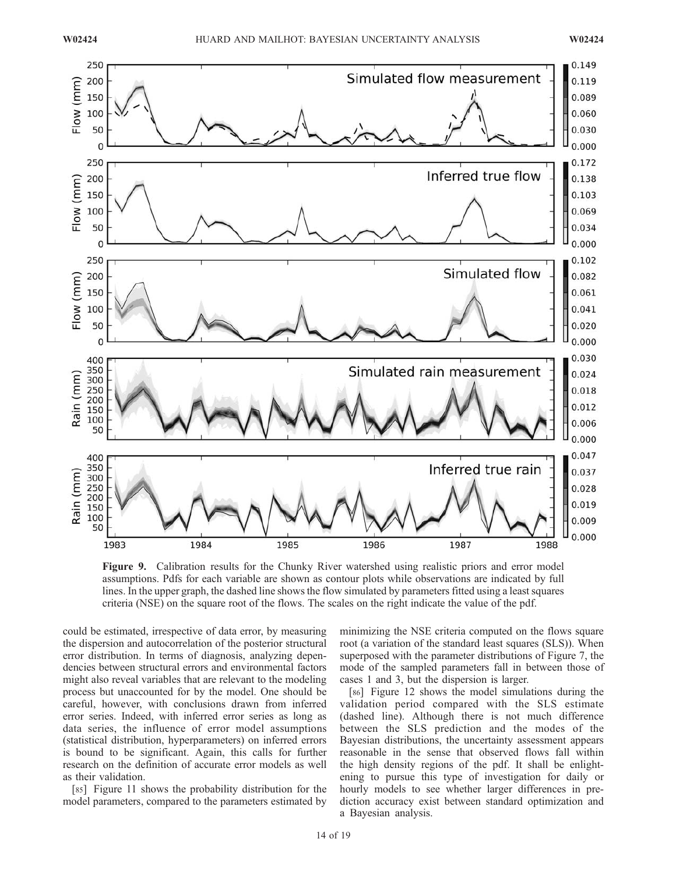

Figure 9. Calibration results for the Chunky River watershed using realistic priors and error model assumptions. Pdfs for each variable are shown as contour plots while observations are indicated by full lines. In the upper graph, the dashed line shows the flow simulated by parameters fitted using a least squares criteria (NSE) on the square root of the flows. The scales on the right indicate the value of the pdf.

could be estimated, irrespective of data error, by measuring the dispersion and autocorrelation of the posterior structural error distribution. In terms of diagnosis, analyzing dependencies between structural errors and environmental factors might also reveal variables that are relevant to the modeling process but unaccounted for by the model. One should be careful, however, with conclusions drawn from inferred error series. Indeed, with inferred error series as long as data series, the influence of error model assumptions (statistical distribution, hyperparameters) on inferred errors is bound to be significant. Again, this calls for further research on the definition of accurate error models as well as their validation.

[85] Figure 11 shows the probability distribution for the model parameters, compared to the parameters estimated by

minimizing the NSE criteria computed on the flows square root (a variation of the standard least squares (SLS)). When superposed with the parameter distributions of Figure 7, the mode of the sampled parameters fall in between those of cases 1 and 3, but the dispersion is larger.

[86] Figure 12 shows the model simulations during the validation period compared with the SLS estimate (dashed line). Although there is not much difference between the SLS prediction and the modes of the Bayesian distributions, the uncertainty assessment appears reasonable in the sense that observed flows fall within the high density regions of the pdf. It shall be enlightening to pursue this type of investigation for daily or hourly models to see whether larger differences in prediction accuracy exist between standard optimization and a Bayesian analysis.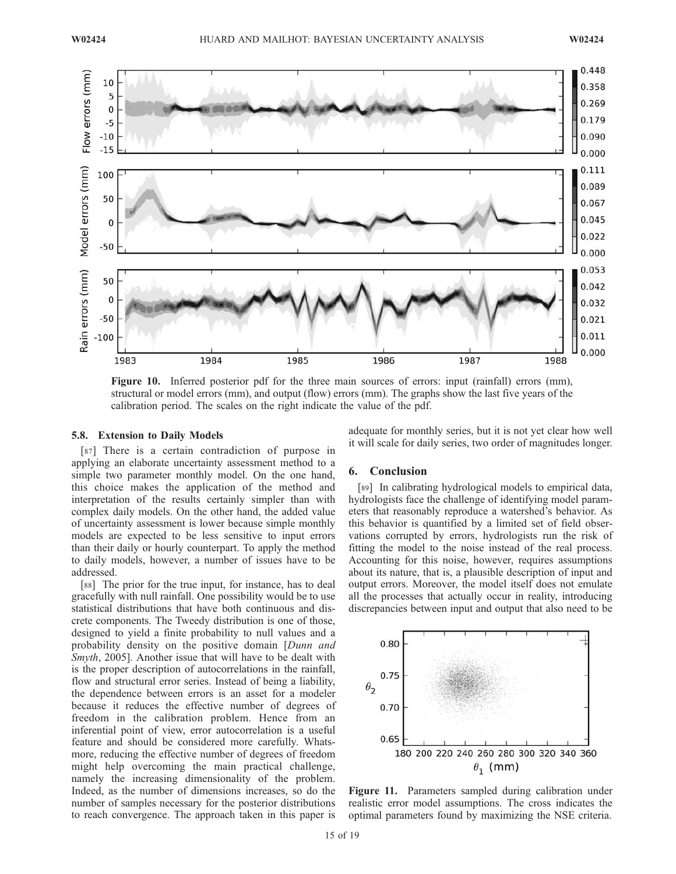

Figure 10. Inferred posterior pdf for the three main sources of errors: input (rainfall) errors (mm), structural or model errors (mm), and output (flow) errors (mm). The graphs show the last five years of the calibration period. The scales on the right indicate the value of the pdf.

### 5.8. Extension to Daily Models

[87] There is a certain contradiction of purpose in applying an elaborate uncertainty assessment method to a simple two parameter monthly model. On the one hand, this choice makes the application of the method and interpretation of the results certainly simpler than with complex daily models. On the other hand, the added value of uncertainty assessment is lower because simple monthly models are expected to be less sensitive to input errors than their daily or hourly counterpart. To apply the method to daily models, however, a number of issues have to be addressed.

[88] The prior for the true input, for instance, has to deal gracefully with null rainfall. One possibility would be to use statistical distributions that have both continuous and discrete components. The Tweedy distribution is one of those, designed to yield a finite probability to null values and a probability density on the positive domain [Dunn and Smyth, 2005]. Another issue that will have to be dealt with is the proper description of autocorrelations in the rainfall, flow and structural error series. Instead of being a liability, the dependence between errors is an asset for a modeler because it reduces the effective number of degrees of freedom in the calibration problem. Hence from an inferential point of view, error autocorrelation is a useful feature and should be considered more carefully. Whatsmore, reducing the effective number of degrees of freedom might help overcoming the main practical challenge, namely the increasing dimensionality of the problem. Indeed, as the number of dimensions increases, so do the number of samples necessary for the posterior distributions to reach convergence. The approach taken in this paper is

adequate for monthly series, but it is not yet clear how well it will scale for daily series, two order of magnitudes longer.

# 6. Conclusion

[89] In calibrating hydrological models to empirical data, hydrologists face the challenge of identifying model parameters that reasonably reproduce a watershed's behavior. As this behavior is quantified by a limited set of field observations corrupted by errors, hydrologists run the risk of fitting the model to the noise instead of the real process. Accounting for this noise, however, requires assumptions about its nature, that is, a plausible description of input and output errors. Moreover, the model itself does not emulate all the processes that actually occur in reality, introducing discrepancies between input and output that also need to be



Figure 11. Parameters sampled during calibration under realistic error model assumptions. The cross indicates the optimal parameters found by maximizing the NSE criteria.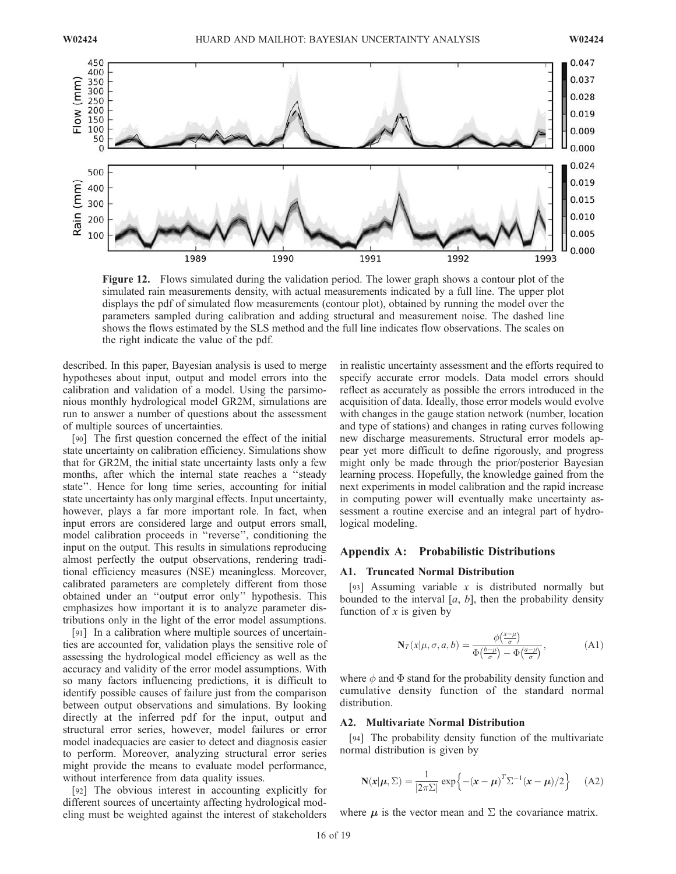

Figure 12. Flows simulated during the validation period. The lower graph shows a contour plot of the simulated rain measurements density, with actual measurements indicated by a full line. The upper plot displays the pdf of simulated flow measurements (contour plot), obtained by running the model over the parameters sampled during calibration and adding structural and measurement noise. The dashed line shows the flows estimated by the SLS method and the full line indicates flow observations. The scales on the right indicate the value of the pdf.

described. In this paper, Bayesian analysis is used to merge hypotheses about input, output and model errors into the calibration and validation of a model. Using the parsimonious monthly hydrological model GR2M, simulations are run to answer a number of questions about the assessment of multiple sources of uncertainties.

[90] The first question concerned the effect of the initial state uncertainty on calibration efficiency. Simulations show that for GR2M, the initial state uncertainty lasts only a few months, after which the internal state reaches a ''steady state''. Hence for long time series, accounting for initial state uncertainty has only marginal effects. Input uncertainty, however, plays a far more important role. In fact, when input errors are considered large and output errors small, model calibration proceeds in ''reverse'', conditioning the input on the output. This results in simulations reproducing almost perfectly the output observations, rendering traditional efficiency measures (NSE) meaningless. Moreover, calibrated parameters are completely different from those obtained under an ''output error only'' hypothesis. This emphasizes how important it is to analyze parameter distributions only in the light of the error model assumptions.

[91] In a calibration where multiple sources of uncertainties are accounted for, validation plays the sensitive role of assessing the hydrological model efficiency as well as the accuracy and validity of the error model assumptions. With so many factors influencing predictions, it is difficult to identify possible causes of failure just from the comparison between output observations and simulations. By looking directly at the inferred pdf for the input, output and structural error series, however, model failures or error model inadequacies are easier to detect and diagnosis easier to perform. Moreover, analyzing structural error series might provide the means to evaluate model performance, without interference from data quality issues.

[92] The obvious interest in accounting explicitly for different sources of uncertainty affecting hydrological modeling must be weighted against the interest of stakeholders in realistic uncertainty assessment and the efforts required to specify accurate error models. Data model errors should reflect as accurately as possible the errors introduced in the acquisition of data. Ideally, those error models would evolve with changes in the gauge station network (number, location and type of stations) and changes in rating curves following new discharge measurements. Structural error models appear yet more difficult to define rigorously, and progress might only be made through the prior/posterior Bayesian learning process. Hopefully, the knowledge gained from the next experiments in model calibration and the rapid increase in computing power will eventually make uncertainty assessment a routine exercise and an integral part of hydrological modeling.

### Appendix A: Probabilistic Distributions

### A1. Truncated Normal Distribution

[93] Assuming variable  $x$  is distributed normally but bounded to the interval  $[a, b]$ , then the probability density function of  $x$  is given by

$$
\mathbf{N}_{T}(x|\mu,\sigma,a,b) = \frac{\phi\left(\frac{x-\mu}{\sigma}\right)}{\Phi\left(\frac{b-\mu}{\sigma}\right) - \Phi\left(\frac{a-\mu}{\sigma}\right)},\tag{A1}
$$

where  $\phi$  and  $\Phi$  stand for the probability density function and cumulative density function of the standard normal distribution.

# A2. Multivariate Normal Distribution

[94] The probability density function of the multivariate normal distribution is given by

$$
\mathbf{N}(\mathbf{x}|\boldsymbol{\mu}, \boldsymbol{\Sigma}) = \frac{1}{|2\pi\boldsymbol{\Sigma}|} \exp\left\{ -(\mathbf{x} - \boldsymbol{\mu})^T \boldsymbol{\Sigma}^{-1} (\mathbf{x} - \boldsymbol{\mu})/2 \right\} \quad \text{(A2)}
$$

where  $\mu$  is the vector mean and  $\Sigma$  the covariance matrix.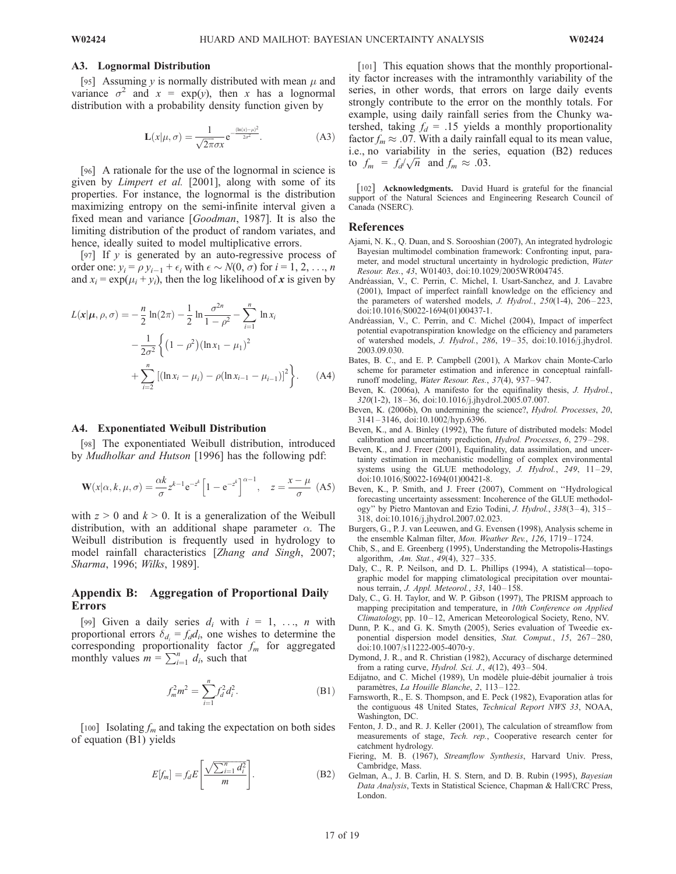### A3. Lognormal Distribution

[95] Assuming y is normally distributed with mean  $\mu$  and variance  $\sigma^2$  and  $x = \exp(y)$ , then x has a lognormal distribution with a probability density function given by

$$
\mathbf{L}(x|\mu,\sigma) = \frac{1}{\sqrt{2\pi}\sigma x} e^{-\frac{(\ln(x)-\mu)^2}{2\sigma^2}}.
$$
 (A3)

[96] A rationale for the use of the lognormal in science is given by *Limpert et al.* [2001], along with some of its properties. For instance, the lognormal is the distribution maximizing entropy on the semi-infinite interval given a fixed mean and variance [Goodman, 1987]. It is also the limiting distribution of the product of random variates, and hence, ideally suited to model multiplicative errors.

[97] If  $y$  is generated by an auto-regressive process of order one:  $y_i = \rho y_{i-1} + \epsilon_i$  with  $\epsilon \sim N(0, \sigma)$  for  $i = 1, 2, \ldots, n$ and  $x_i = \exp(\mu_i + y_i)$ , then the log likelihood of x is given by

$$
L(\mathbf{x}|\boldsymbol{\mu}, \rho, \sigma) = -\frac{n}{2} \ln(2\pi) - \frac{1}{2} \ln \frac{\sigma^{2n}}{1 - \rho^2} - \sum_{i=1}^n \ln x_i
$$
  

$$
- \frac{1}{2\sigma^2} \left\{ (1 - \rho^2) (\ln x_1 - \mu_1)^2 + \sum_{i=2}^n \left[ (\ln x_i - \mu_i) - \rho (\ln x_{i-1} - \mu_{i-1}) \right]^2 \right\}.
$$
 (A4)

#### A4. Exponentiated Weibull Distribution

[98] The exponentiated Weibull distribution, introduced by Mudholkar and Hutson [1996] has the following pdf:

$$
\mathbf{W}(x|\alpha, k, \mu, \sigma) = \frac{\alpha k}{\sigma} z^{k-1} e^{-z^k} \left[ 1 - e^{-z^k} \right]^{\alpha - 1}, \quad z = \frac{x - \mu}{\sigma} \text{ (A5)}
$$

with  $z > 0$  and  $k > 0$ . It is a generalization of the Weibull distribution, with an additional shape parameter  $\alpha$ . The Weibull distribution is frequently used in hydrology to model rainfall characteristics [Zhang and Singh, 2007; Sharma, 1996; Wilks, 1989].

# Appendix B: Aggregation of Proportional Daily Errors

[99] Given a daily series  $d_i$  with  $i = 1, \ldots, n$  with proportional errors  $\delta_{d_i} = f_d d_i$ , one wishes to determine the corresponding proportionality factor  $f_m$  for aggregated monthly values  $m = \sum_{i=1}^{n} d_i$ , such that

$$
f_m^2 m^2 = \sum_{i=1}^n f_d^2 d_i^2.
$$
 (B1)

[100] Isolating  $f_m$  and taking the expectation on both sides of equation (B1) yields

$$
E[f_m] = f_d E \left[ \frac{\sqrt{\sum_{i=1}^n d_i^2}}{m} \right].
$$
 (B2)

[101] This equation shows that the monthly proportionality factor increases with the intramonthly variability of the series, in other words, that errors on large daily events strongly contribute to the error on the monthly totals. For example, using daily rainfall series from the Chunky watershed, taking  $f_d = .15$  yields a monthly proportionality factor  $f_m \approx .07$ . With a daily rainfall equal to its mean value, i.e., no variability in the series, equation (B2) reduces i.e., no variability in the series<br>to  $f_m = f_d / \sqrt{n}$  and  $f_m \approx .03$ .

[102] Acknowledgments. David Huard is grateful for the financial support of the Natural Sciences and Engineering Research Council of Canada (NSERC).

### References

- Ajami, N. K., Q. Duan, and S. Sorooshian (2007), An integrated hydrologic Bayesian multimodel combination framework: Confronting input, parameter, and model structural uncertainty in hydrologic prediction, Water Resour. Res., 43, W01403, doi:10.1029/2005WR004745.
- Andréassian, V., C. Perrin, C. Michel, I. Usart-Sanchez, and J. Lavabre (2001), Impact of imperfect rainfall knowledge on the efficiency and the parameters of watershed models, J. Hydrol., 250(1-4), 206-223, doi:10.1016/S0022-1694(01)00437-1.
- Andréassian, V., C. Perrin, and C. Michel (2004), Impact of imperfect potential evapotranspiration knowledge on the efficiency and parameters of watershed models, J. Hydrol., 286, 19-35, doi:10.1016/j.jhydrol. 2003.09.030.
- Bates, B. C., and E. P. Campbell (2001), A Markov chain Monte-Carlo scheme for parameter estimation and inference in conceptual rainfallrunoff modeling, Water Resour. Res., 37(4), 937-947.
- Beven, K. (2006a), A manifesto for the equifinality thesis, J. Hydrol., 320(1-2), 18 – 36, doi:10.1016/j.jhydrol.2005.07.007.
- Beven, K. (2006b), On undermining the science?, Hydrol. Processes, 20, 3141 – 3146, doi:10.1002/hyp.6396.
- Beven, K., and A. Binley (1992), The future of distributed models: Model calibration and uncertainty prediction, Hydrol. Processes, 6, 279 – 298.
- Beven, K., and J. Freer (2001), Equifinality, data assimilation, and uncertainty estimation in mechanistic modelling of complex environmental systems using the GLUE methodology,  $J.$  Hydrol., 249, 11-29, doi:10.1016/S0022-1694(01)00421-8.
- Beven, K., P. Smith, and J. Freer (2007), Comment on ''Hydrological forecasting uncertainty assessment: Incoherence of the GLUE methodology" by Pietro Mantovan and Ezio Todini, J. Hydrol., 338(3-4), 315-318, doi:10.1016/j.jhydrol.2007.02.023.
- Burgers, G., P. J. van Leeuwen, and G. Evensen (1998), Analysis scheme in the ensemble Kalman filter, Mon. Weather Rev., 126, 1719-1724.
- Chib, S., and E. Greenberg (1995), Understanding the Metropolis-Hastings algorithm, Am. Stat., 49(4), 327-335.
- Daly, C., R. P. Neilson, and D. L. Phillips (1994), A statistical—topographic model for mapping climatological precipitation over mountainous terrain, J. Appl. Meteorol., 33, 140-158.
- Daly, C., G. H. Taylor, and W. P. Gibson (1997), The PRISM approach to mapping precipitation and temperature, in 10th Conference on Applied Climatology, pp. 10-12, American Meteorological Society, Reno, NV.
- Dunn, P. K., and G. K. Smyth (2005), Series evaluation of Tweedie exponential dispersion model densities, Stat. Comput., 15, 267-280, doi:10.1007/s11222-005-4070-y.
- Dymond, J. R., and R. Christian (1982), Accuracy of discharge determined from a rating curve, *Hydrol. Sci. J.*, 4(12), 493-504.
- Edijatno, and C. Michel (1989), Un modèle pluie-débit journalier à trois paramètres, La Houille Blanche, 2, 113-122.
- Farnsworth, R., E. S. Thompson, and E. Peck (1982), Evaporation atlas for the contiguous 48 United States, Technical Report NWS 33, NOAA, Washington, DC.
- Fenton, J. D., and R. J. Keller (2001), The calculation of streamflow from measurements of stage, Tech. rep., Cooperative research center for catchment hydrology.
- Fiering, M. B. (1967), Streamflow Synthesis, Harvard Univ. Press, Cambridge, Mass.
- Gelman, A., J. B. Carlin, H. S. Stern, and D. B. Rubin (1995), Bayesian Data Analysis, Texts in Statistical Science, Chapman & Hall/CRC Press, London.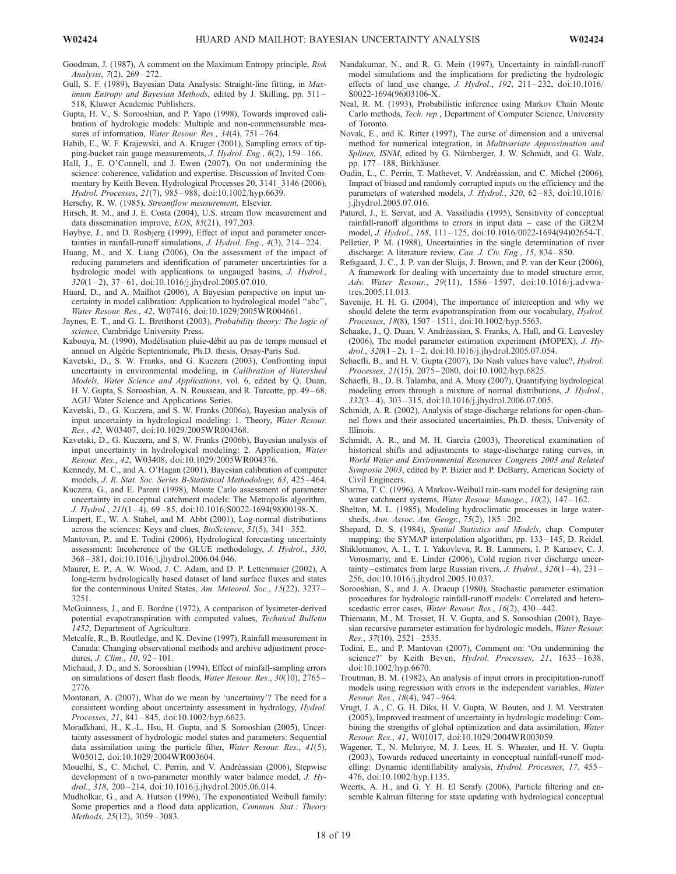- Goodman, J. (1987), A comment on the Maximum Entropy principle, Risk Analysis, 7(2), 269 – 272.
- Gull, S. F. (1989), Bayesian Data Analysis: Straight-line fitting, in Maximum Entropy and Bayesian Methods, edited by J. Skilling, pp. 511-518, Kluwer Academic Publishers.
- Gupta, H. V., S. Sorooshian, and P. Yapo (1998), Towards improved calibration of hydrologic models: Multiple and non-commensurable measures of information, Water Resour. Res., 34(4), 751-764.
- Habib, E., W. F. Krajewski, and A. Kruger (2001), Sampling errors of tipping-bucket rain gauge measurements, J. Hydrol. Eng., 6(2), 159 – 166.
- Hall, J., E. O'Connell, and J. Ewen (2007), On not undermining the science: coherence, validation and expertise. Discussion of Invited Commentary by Keith Beven. Hydrological Processes 20, 3141\_3146 (2006), Hydrol. Processes, 21(7), 985-988, doi:10.1002/hyp.6639.
- Herschy, R. W. (1985), Streamflow measurement, Elsevier.
- Hirsch, R. M., and J. E. Costa (2004), U.S. stream flow measurement and data dissemination improve, EOS, 85(21), 197,203.
- Høybye, J., and D. Rosbjerg (1999), Effect of input and parameter uncertainties in rainfall-runoff simulations, *J. Hydrol. Eng.*,  $4(3)$ , 214-224.
- Huang, M., and X. Liang (2006), On the assessment of the impact of reducing parameters and identification of parameter uncertainties for a hydrologic model with applications to ungauged basins, J. Hydrol.,  $320(1-2)$ ,  $37-61$ , doi:10.1016/j.jhydrol.2005.07.010.
- Huard, D., and A. Mailhot (2006), A Bayesian perspective on input uncertainty in model calibration: Application to hydrological model ''abc'', Water Resour. Res., 42, W07416, doi:10.1029/2005WR004661.
- Jaynes, E. T., and G. L. Bretthorst (2003), Probability theory: The logic of science, Cambridge University Press.
- Kabouya, M. (1990), Modélisation pluie-débit au pas de temps mensuel et annuel en Algérie Septentrionale, Ph.D. thesis, Orsay-Paris Sud.
- Kavetski, D., S. W. Franks, and G. Kuczera (2003), Confronting input uncertainty in environmental modeling, in Calibration of Watershed Models, Water Science and Applications, vol. 6, edited by Q. Duan, H. V. Gupta, S. Sorooshian, A. N. Rousseau, and R. Turcotte, pp. 49 – 68, AGU Water Science and Applications Series.
- Kavetski, D., G. Kuczera, and S. W. Franks (2006a), Bayesian analysis of input uncertainty in hydrological modeling: 1. Theory, Water Resour. Res., 42, W03407, doi:10.1029/2005WR004368.
- Kavetski, D., G. Kuczera, and S. W. Franks (2006b), Bayesian analysis of input uncertainty in hydrological modeling: 2. Application, Water Resour. Res., 42, W03408, doi:10.1029/2005WR004376.
- Kennedy, M. C., and A. O'Hagan (2001), Bayesian calibration of computer models, J. R. Stat. Soc. Series B-Statistical Methodology, 63, 425-464.
- Kuczera, G., and E. Parent (1998), Monte Carlo assessment of parameter uncertainty in conceptual catchment models: The Metropolis algorithm, J. Hydrol., 211(1-4), 69-85, doi:10.1016/S0022-1694(98)00198-X.
- Limpert, E., W. A. Stahel, and M. Abbt (2001), Log-normal distributions across the sciences: Keys and clues, BioScience, 51(5), 341-352.
- Mantovan, P., and E. Todini (2006), Hydrological forecasting uncertainty assessment: Incoherence of the GLUE methodology, J. Hydrol., 330, 368 – 381, doi:10.1016/j.jhydrol.2006.04.046.
- Maurer, E. P., A. W. Wood, J. C. Adam, and D. P. Lettenmaier (2002), A long-term hydrologically based dataset of land surface fluxes and states for the conterminous United States, Am. Meteorol. Soc., 15(22), 3237 -3251.
- McGuinness, J., and E. Bordne (1972), A comparison of lysimeter-derived potential evapotranspiration with computed values, Technical Bulletin 1452, Department of Agriculture.
- Metcalfe, R., B. Routledge, and K. Devine (1997), Rainfall measurement in Canada: Changing observational methods and archive adjustment procedures, *J. Clim.*, 10, 92-101.
- Michaud, J. D., and S. Sorooshian (1994), Effect of rainfall-sampling errors on simulations of desert flash floods, Water Resour. Res., 30(10), 2765-2776.
- Montanari, A. (2007), What do we mean by 'uncertainty'? The need for a consistent wording about uncertainty assessment in hydrology, Hydrol. Processes, 21, 841 – 845, doi:10.1002/hyp.6623.
- Moradkhani, H., K.-L. Hsu, H. Gupta, and S. Sorooshian (2005), Uncertainty assessment of hydrologic model states and parameters: Sequential data assimilation using the particle filter, Water Resour. Res., 41(5), W05012, doi:10.1029/2004WR003604.
- Mouelhi, S., C. Michel, C. Perrin, and V. Andréassian (2006), Stepwise development of a two-parameter monthly water balance model, J. Hydrol., 318, 200-214, doi:10.1016/j.jhydrol.2005.06.014.
- Mudholkar, G., and A. Hutson (1996), The exponentiated Weibull family: Some properties and a flood data application, Commun. Stat.: Theory Methods, 25(12), 3059-3083.
- Nandakumar, N., and R. G. Mein (1997), Uncertainty in rainfall-runoff model simulations and the implications for predicting the hydrologic effects of land\_use change, *J. Hydrol.*,  $192$ ,  $211-232$ , doi:10.1016/ S0022-1694(96)03106-X.
- Neal, R. M. (1993), Probabilistic inference using Markov Chain Monte Carlo methods, Tech. rep., Department of Computer Science, University of Toronto.
- Novak, E., and K. Ritter (1997), The curse of dimension and a universal method for numerical integration, in Multivariate Approximation and Splines, ISNM, edited by G. Nürnberger, J. W. Schmidt, and G. Walz, pp. 177 – 188, Birkhäuser.
- Oudin, L., C. Perrin, T. Mathevet, V. Andréassian, and C. Michel (2006), Impact of biased and randomly corrupted inputs on the efficiency and the parameters of watershed models, J. Hydrol., 320, 62-83, doi:10.1016/ j.jhydrol.2005.07.016.
- Paturel, J., E. Servat, and A. Vassiliadis (1995), Sensitivity of conceptual rainfall-runoff algorithms to errors in input data – case of the GR2M model, J. Hydrol., 168, 111 – 125, doi:10.1016/0022-1694(94)02654-T.
- Pelletier, P. M. (1988), Uncertainties in the single determination of river discharge: A literature review, Can. J. Civ. Eng., 15, 834-850.
- Refsgaard, J. C., J. P. van der Sluijs, J. Brown, and P. van der Keur (2006), A framework for dealing with uncertainty due to model structure error, Adv. Water Resour., 29(11), 1586-1597, doi:10.1016/j.advwatres.2005.11.013.
- Savenije, H. H. G. (2004), The importance of interception and why we should delete the term evapotranspiration from our vocabulary, *Hydrol*. Processes, 18(8), 1507 – 1511, doi:10.1002/hyp.5563.
- Schaake, J., Q. Duan, V. Andréassian, S. Franks, A. Hall, and G. Leavesley (2006), The model parameter estimation experiment (MOPEX), J. Hydrol.,  $320(1-2)$ ,  $1-2$ , doi:10.1016/j.jhydrol.2005.07.054.
- Schaefli, B., and H. V. Gupta (2007), Do Nash values have value?, *Hydrol.* Processes, 21(15), 2075 – 2080, doi:10.1002/hyp.6825.
- Schaefli, B., D. B. Talamba, and A. Musy (2007), Quantifying hydrological modeling errors through a mixture of normal distributions, J. Hydrol., 332(3 – 4), 303 – 315, doi:10.1016/j.jhydrol.2006.07.005.
- Schmidt, A. R. (2002), Analysis of stage-discharge relations for open-channel flows and their associated uncertainties, Ph.D. thesis, University of Illinois.
- Schmidt, A. R., and M. H. Garcia (2003), Theoretical examination of historical shifts and adjustments to stage-discharge rating curves, in World Water and Environmental Resources Congress 2003 and Related Symposia 2003, edited by P. Bizier and P. DeBarry, American Society of Civil Engineers.
- Sharma, T. C. (1996), A Markov-Weibull rain-sum model for designing rain water catchment systems, Water Resour. Manage., 10(2), 147-162.
- Shelton, M. L. (1985), Modeling hydroclimatic processes in large watersheds, Ann. Assoc. Am. Geogr., 75(2), 185-202.
- Shepard, D. S. (1984), Spatial Statistics and Models, chap. Computer mapping: the SYMAP interpolation algorithm, pp. 133 – 145, D. Reidel.
- Shiklomanov, A. I., T. I. Yakovleva, R. B. Lammers, I. P. Karasev, C. J. Vorosmarty, and E. Linder (2006), Cold region river discharge uncertainty-estimates from large Russian rivers, J. Hydrol.,  $326(1-4)$ ,  $231-$ 256, doi:10.1016/j.jhydrol.2005.10.037.
- Sorooshian, S., and J. A. Dracup (1980), Stochastic parameter estimation procedures for hydrologic rainfall-runoff models: Correlated and heteroscedastic error cases, Water Resour. Res., 16(2), 430-442.
- Thiemann, M., M. Trosset, H. V. Gupta, and S. Sorooshian (2001), Bayesian recursive parameter estimation for hydrologic models, Water Resour.  $Res.$ , 37(10), 2521 – 2535.
- Todini, E., and P. Mantovan (2007), Comment on: 'On undermining the science?' by Keith Beven, Hydrol. Processes, 21, 1633-1638, doi:10.1002/hyp.6670.
- Troutman, B. M. (1982), An analysis of input errors in precipitation-runoff models using regression with errors in the independent variables, Water Resour. Res., 18(4), 947 – 964.
- Vrugt, J. A., C. G. H. Diks, H. V. Gupta, W. Bouten, and J. M. Verstraten (2005), Improved treatment of uncertainty in hydrologic modeling: Combining the strengths of global optimization and data assimilation, Water Resour. Res., 41, W01017, doi:10.1029/2004WR003059.
- Wagener, T., N. McIntyre, M. J. Lees, H. S. Wheater, and H. V. Gupta (2003), Towards reduced uncertainty in conceptual rainfall-runoff modelling: Dynamic identifiability analysis, Hydrol. Processes, 17, 455-476, doi:10.1002/hyp.1135.
- Weerts, A. H., and G. Y. H. El Serafy (2006), Particle filtering and ensemble Kalman filtering for state updating with hydrological conceptual